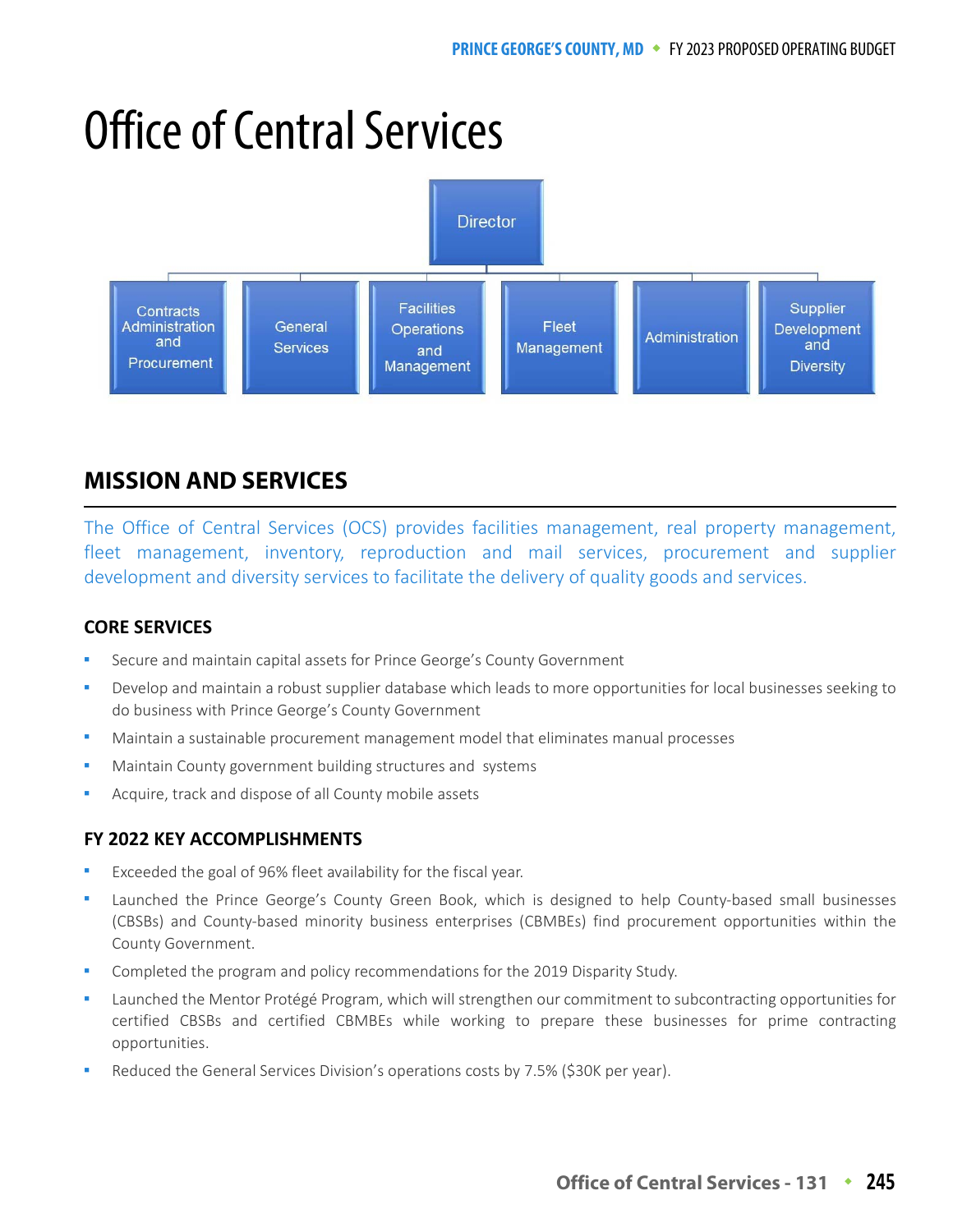# Office of Central Services



# **MISSION AND SERVICES**

The Office of Central Services (OCS) provides facilities management, real property management, fleet management, inventory, reproduction and mail services, procurement and supplier development and diversity services to facilitate the delivery of quality goods and services.

#### **CORE SERVICES**

- Secure and maintain capital assets for Prince George's County Government
- Develop and maintain a robust supplier database which leads to more opportunities for local businesses seeking to do business with Prince George's County Government
- Maintain a sustainable procurement management model that eliminates manual processes
- Maintain County government building structures and systems
- Acquire, track and dispose of all County mobile assets

#### **FY 2022 KEY ACCOMPLISHMENTS**

- Exceeded the goal of 96% fleet availability for the fiscal year.
- Launched the Prince George's County Green Book, which is designed to help County-based small businesses (CBSBs) and County-based minority business enterprises (CBMBEs) find procurement opportunities within the County Government.
- Completed the program and policy recommendations for the 2019 Disparity Study.
- Launched the Mentor Protégé Program, which will strengthen our commitment to subcontracting opportunities for certified CBSBs and certified CBMBEs while working to prepare these businesses for prime contracting opportunities.
- Reduced the General Services Division's operations costs by 7.5% (\$30K per year).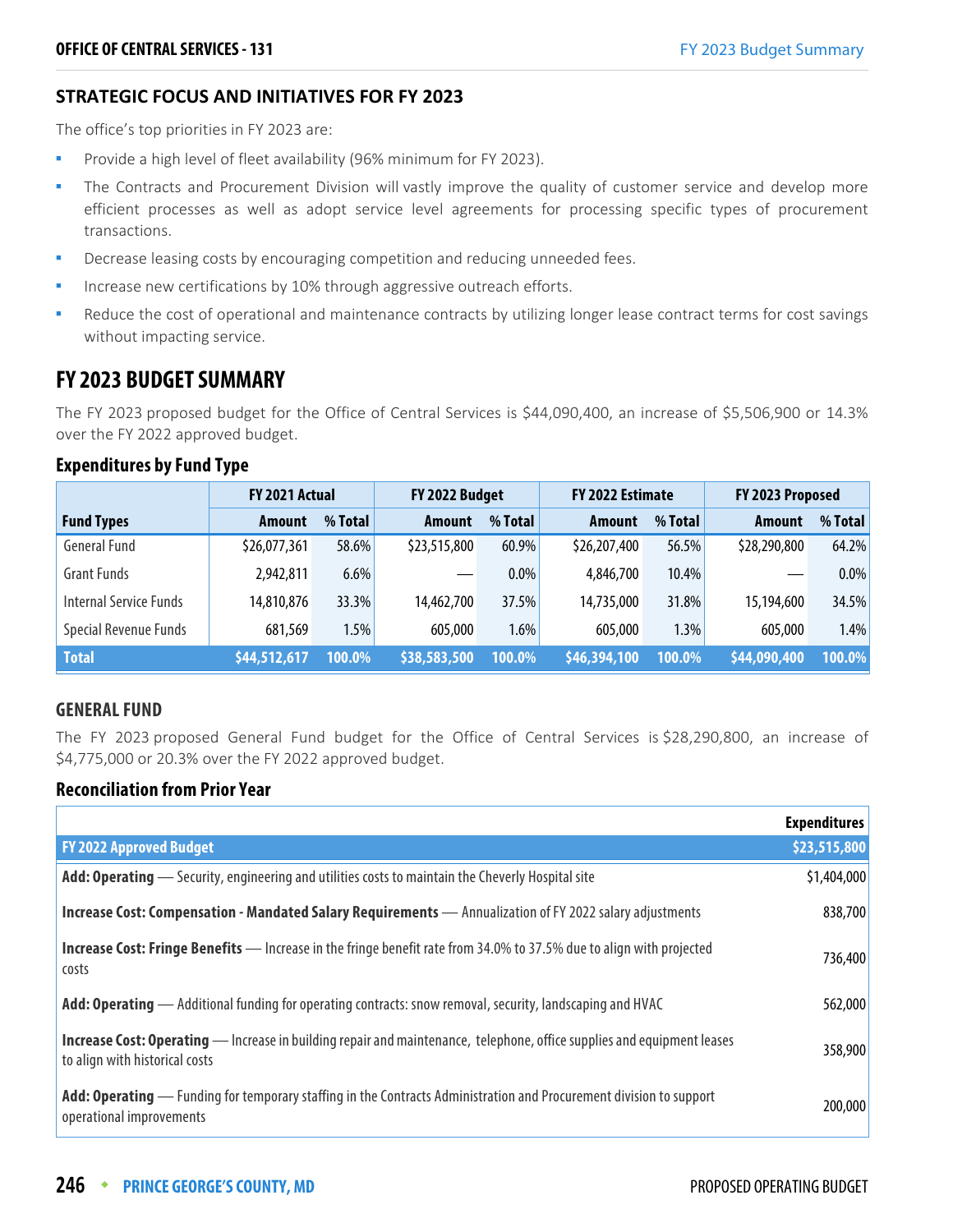#### **STRATEGIC FOCUS AND INITIATIVES FOR FY 2023**

The office's top priorities in FY 2023 are:

- Provide a high level of fleet availability (96% minimum for FY 2023).
- The Contracts and Procurement Division will vastly improve the quality of customer service and develop more efficient processes as well as adopt service level agreements for processing specific types of procurement transactions.
- Decrease leasing costs by encouraging competition and reducing unneeded fees.
- Increase new certifications by 10% through aggressive outreach efforts.
- Reduce the cost of operational and maintenance contracts by utilizing longer lease contract terms for cost savings without impacting service.

## **FY 2023 BUDGET SUMMARY**

The FY 2023 proposed budget for the Office of Central Services is \$44,090,400, an increase of \$5,506,900 or 14.3% over the FY 2022 approved budget.

#### **Expenditures by Fund Type**

|                        | FY 2021 Actual |         | FY 2022 Budget |         | FY 2022 Estimate |         | FY 2023 Proposed |         |
|------------------------|----------------|---------|----------------|---------|------------------|---------|------------------|---------|
| <b>Fund Types</b>      | Amount         | % Total | <b>Amount</b>  | % Total | Amount           | % Total | Amount           | % Total |
| <b>General Fund</b>    | \$26,077,361   | 58.6%   | \$23,515,800   | 60.9%   | \$26,207,400     | 56.5%   | \$28,290,800     | 64.2%   |
| <b>Grant Funds</b>     | 2,942,811      | 6.6%    |                | $0.0\%$ | 4,846,700        | 10.4%   | —                | $0.0\%$ |
| Internal Service Funds | 14,810,876     | 33.3%   | 14,462,700     | 37.5%   | 14,735,000       | 31.8%   | 15,194,600       | 34.5%   |
| Special Revenue Funds  | 681,569        | 1.5%    | 605,000        | 1.6%    | 605,000          | 1.3%    | 605,000          | 1.4%    |
| <b>Total</b>           | \$44,512,617   | 100.0%  | \$38,583,500   | 100.0%  | \$46,394,100     | 100.0%  | \$44,090,400     | 100.0%  |

#### **GENERAL FUND**

The FY 2023 proposed General Fund budget for the Office of Central Services is \$28,290,800, an increase of \$4,775,000 or 20.3% over the FY 2022 approved budget.

#### **Reconciliation from Prior Year**

|                                                                                                                                                                  | <b>Expenditures</b> |
|------------------------------------------------------------------------------------------------------------------------------------------------------------------|---------------------|
| <b>FY 2022 Approved Budget</b>                                                                                                                                   | \$23,515,800        |
| Add: Operating - Security, engineering and utilities costs to maintain the Cheverly Hospital site                                                                | \$1,404,000         |
| Increase Cost: Compensation - Mandated Salary Requirements - Annualization of FY 2022 salary adjustments                                                         | 838,700             |
| <b>Increase Cost: Fringe Benefits</b> — Increase in the fringe benefit rate from 34.0% to 37.5% due to align with projected<br>costs                             | 736,400             |
| <b>Add: Operating</b> — Additional funding for operating contracts: snow removal, security, landscaping and HVAC                                                 | 562,000             |
| <b>Increase Cost: Operating</b> — Increase in building repair and maintenance, telephone, office supplies and equipment leases<br>to align with historical costs | 358,900             |
| Add: Operating — Funding for temporary staffing in the Contracts Administration and Procurement division to support<br>operational improvements                  | 200,000             |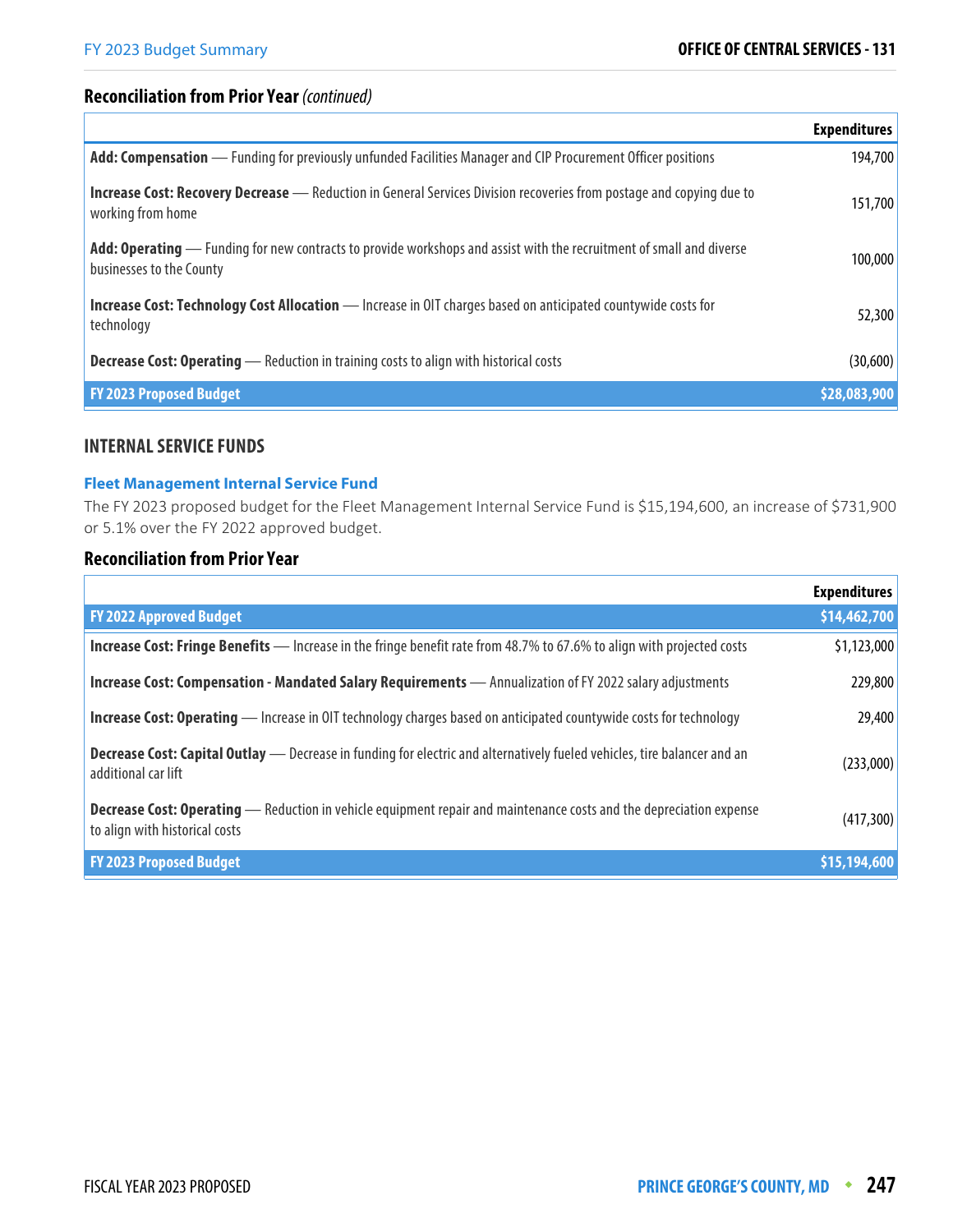#### **Reconciliation from Prior Year** (continued)

|                                                                                                                                                  | <b>Expenditures</b> |
|--------------------------------------------------------------------------------------------------------------------------------------------------|---------------------|
| Add: Compensation — Funding for previously unfunded Facilities Manager and CIP Procurement Officer positions                                     | 194,700             |
| <b>Increase Cost: Recovery Decrease</b> — Reduction in General Services Division recoveries from postage and copying due to<br>working from home | 151,700             |
| Add: Operating — Funding for new contracts to provide workshops and assist with the recruitment of small and diverse<br>businesses to the County | 100,000             |
| <b>Increase Cost: Technology Cost Allocation</b> — Increase in OIT charges based on anticipated countywide costs for<br>technology               | 52,300              |
| <b>Decrease Cost: Operating</b> — Reduction in training costs to align with historical costs                                                     | (30,600)            |
| <b>FY 2023 Proposed Budget</b>                                                                                                                   | \$28,083,900        |

#### **INTERNAL SERVICE FUNDS**

#### **Fleet Management Internal Service Fund**

The FY 2023 proposed budget for the Fleet Management Internal Service Fund is \$15,194,600, an increase of \$731,900 or 5.1% over the FY 2022 approved budget.

#### **Reconciliation from Prior Year**

|                                                                                                                                                              | <b>Expenditures</b> |
|--------------------------------------------------------------------------------------------------------------------------------------------------------------|---------------------|
| <b>FY 2022 Approved Budget</b>                                                                                                                               | \$14,462,700        |
| <b>Increase Cost: Fringe Benefits</b> — Increase in the fringe benefit rate from 48.7% to 67.6% to align with projected costs                                | \$1,123,000         |
| Increase Cost: Compensation - Mandated Salary Requirements - Annualization of FY 2022 salary adjustments                                                     | 229,800             |
| <b>Increase Cost: Operating</b> — Increase in OIT technology charges based on anticipated countywide costs for technology                                    | 29,400              |
| <b>Decrease Cost: Capital Outlay</b> — Decrease in funding for electric and alternatively fueled vehicles, tire balancer and an<br>additional car lift       | (233,000)           |
| <b>Decrease Cost: Operating</b> — Reduction in vehicle equipment repair and maintenance costs and the depreciation expense<br>to align with historical costs | (417, 300)          |
| <b>FY 2023 Proposed Budget</b>                                                                                                                               | \$15,194,600        |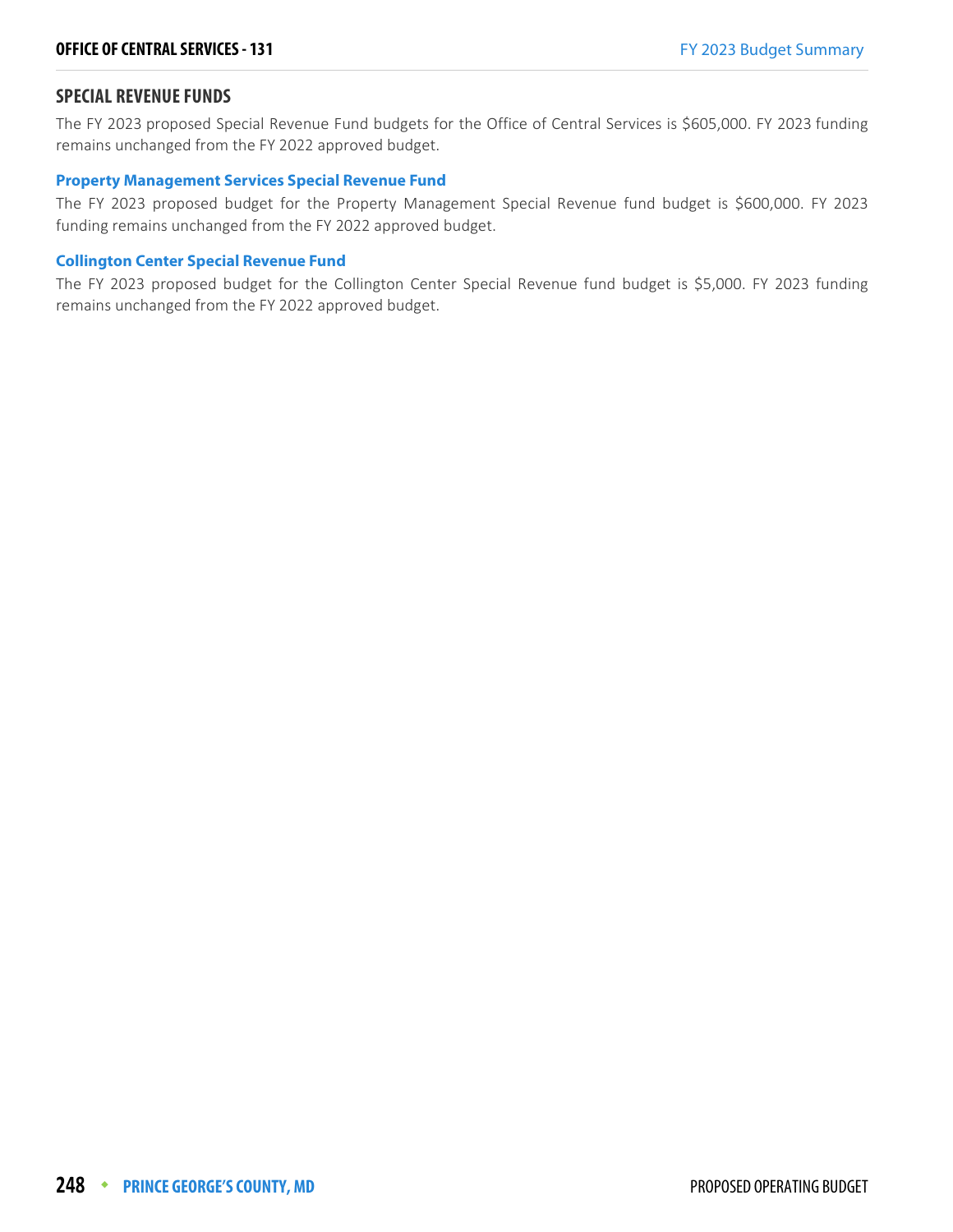#### **SPECIAL REVENUE FUNDS**

The FY 2023 proposed Special Revenue Fund budgets for the Office of Central Services is \$605,000. FY 2023 funding remains unchanged from the FY 2022 approved budget.

#### **Property Management Services Special Revenue Fund**

The FY 2023 proposed budget for the Property Management Special Revenue fund budget is \$600,000. FY 2023 funding remains unchanged from the FY 2022 approved budget.

#### **Collington Center Special Revenue Fund**

The FY 2023 proposed budget for the Collington Center Special Revenue fund budget is \$5,000. FY 2023 funding remains unchanged from the FY 2022 approved budget.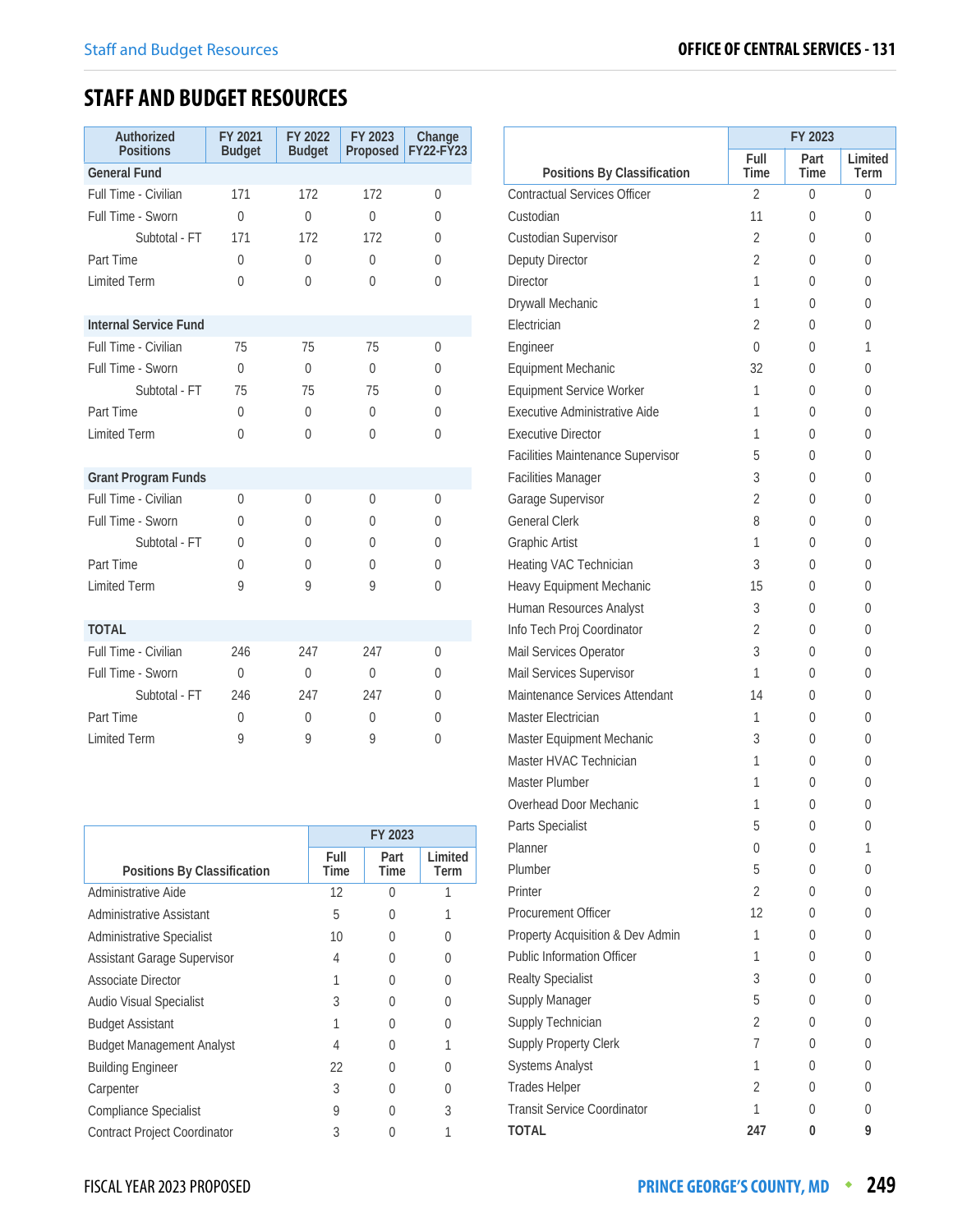## **STAFF AND BUDGET RESOURCES**

| Authorized<br><b>Positions</b> | FY 2021<br><b>Budget</b> | FY 2022<br><b>Budget</b> | FY 2023<br>Proposed | Change<br><b>FY22-FY23</b> |
|--------------------------------|--------------------------|--------------------------|---------------------|----------------------------|
| <b>General Fund</b>            |                          |                          |                     |                            |
| Full Time - Civilian           | 171                      | 172                      | 172                 | 0                          |
| Full Time - Sworn              | $\theta$                 | $\theta$                 | $\Omega$            | 0                          |
| Subtotal - FT                  | 171                      | 172                      | 172                 | 0                          |
| Part Time                      | 0                        | $\theta$                 | $\Omega$            | 0                          |
| <b>Limited Term</b>            | $\Omega$                 | 0                        | 0                   | 0                          |
| <b>Internal Service Fund</b>   |                          |                          |                     |                            |
| Full Time - Civilian           | 75                       | 75                       | 75                  | $\Omega$                   |
| Full Time - Sworn              | $\theta$                 | $\Omega$                 | $\Omega$            | 0                          |
| Subtotal - FT                  | 75                       | 75                       | 75                  | 0                          |
| Part Time                      | $\theta$                 | $\Omega$                 | $\Omega$            | 0                          |
| <b>Limited Term</b>            | 0                        | 0                        | 0                   | $\Omega$                   |
| <b>Grant Program Funds</b>     |                          |                          |                     |                            |
| Full Time - Civilian           | $\Omega$                 | 0                        | $\Omega$            | 0                          |
| Full Time - Sworn              | 0                        | $\Omega$                 | 0                   | 0                          |
| Subtotal - FT                  | 0                        | $\Omega$                 | 0                   | 0                          |
| Part Time                      | $\theta$                 | 0                        | 0                   | 0                          |
| <b>Limited Term</b>            | 9                        | 9                        | 9                   | 0                          |
| <b>TOTAL</b>                   |                          |                          |                     |                            |
| Full Time - Civilian           | 246                      | 247                      | 247                 | 0                          |
| Full Time - Sworn              | $\theta$                 | $\theta$                 | $\Omega$            | 0                          |
| Subtotal - FT                  | 246                      | 247                      | 247                 | 0                          |
| Part Time                      | $\Omega$                 | 0                        | 0                   | 0                          |
| <b>Limited Term</b>            | 9                        | 9                        | 9                   | $\Omega$                   |

|                                     |              | FY 2023      |                 |
|-------------------------------------|--------------|--------------|-----------------|
| Positions By Classification         | Full<br>Time | Part<br>Time | Limited<br>Term |
| Administrative Aide                 | 12           | U            |                 |
| Administrative Assistant            | 5            | 0            |                 |
| <b>Administrative Specialist</b>    | 10           | 0            |                 |
| <b>Assistant Garage Supervisor</b>  | 4            | U            |                 |
| Associate Director                  |              | 0            |                 |
| Audio Visual Specialist             | 3            | U            |                 |
| <b>Budget Assistant</b>             |              | U            |                 |
| <b>Budget Management Analyst</b>    | 4            | U            |                 |
| <b>Building Engineer</b>            | 22           | 0            |                 |
| Carpenter                           | 3            | U            |                 |
| <b>Compliance Specialist</b>        | 9            |              | 3               |
| <b>Contract Project Coordinator</b> | 3            |              |                 |

|                                     |                | FY 2023      |                 |
|-------------------------------------|----------------|--------------|-----------------|
| Positions By Classification         | Full<br>Time   | Part<br>Time | Limited<br>Term |
| <b>Contractual Services Officer</b> | $\mathfrak{D}$ | 0            | 0               |
| Custodian                           | 11             | 0            | 0               |
| Custodian Supervisor                | 2              | 0            | 0               |
| Deputy Director                     | 2              | 0            | 0               |
| Director                            | 1              | 0            | 0               |
| Drywall Mechanic                    | 1              | 0            | 0               |
| Flectrician                         | 2              | 0            | 0               |
| Engineer                            | 0              | 0            | 1               |
| <b>Equipment Mechanic</b>           | 32             | 0            | 0               |
| <b>Equipment Service Worker</b>     | 1              | 0            | 0               |
| Executive Administrative Aide       | 1              | 0            | 0               |
| <b>Executive Director</b>           | 1              | 0            | 0               |
| Facilities Maintenance Supervisor   | 5              | 0            | 0               |
| <b>Facilities Manager</b>           | 3              | 0            | 0               |
| Garage Supervisor                   | 2              | 0            | 0               |
| <b>General Clerk</b>                | 8              | 0            | 0               |
| <b>Graphic Artist</b>               | 1              | 0            | 0               |
| Heating VAC Technician              | 3              | 0            | 0               |
| Heavy Equipment Mechanic            | 15             | 0            | 0               |
| Human Resources Analyst             | 3              | 0            | 0               |
| Info Tech Proj Coordinator          | 2              | 0            | 0               |
| Mail Services Operator              | 3              | 0            | 0               |
| Mail Services Supervisor            | 1              | 0            | 0               |
| Maintenance Services Attendant      | 14             | 0            | 0               |
| Master Electrician                  | 1              | 0            | 0               |
| Master Equipment Mechanic           | 3              | 0            | 0               |
| Master HVAC Technician              | 1              | 0            | 0               |
| Master Plumber                      | 1              | 0            | 0               |
| Overhead Door Mechanic              | 1              | 0            | 0               |
| Parts Specialist                    | 5              | 0            | 0               |
| Planner                             | 0              | 0            | 1               |
| Plumber                             | 5              | 0            | 0               |
| Printer                             | $\overline{2}$ | 0            | 0               |
| Procurement Officer                 | 12             | 0            | 0               |
| Property Acquisition & Dev Admin    | 1              | 0            | 0               |
| <b>Public Information Officer</b>   | 1              | 0            | 0               |
| <b>Realty Specialist</b>            | 3              | 0            | 0               |
| Supply Manager                      | 5              | 0            | 0               |
| Supply Technician                   | $\overline{2}$ | 0            | 0               |
| Supply Property Clerk               | 7              | 0            | 0               |
| Systems Analyst                     | 1              | 0            | 0               |
| <b>Trades Helper</b>                | $\overline{2}$ | 0            | 0               |
| <b>Transit Service Coordinator</b>  | 1              | 0            | 0               |
| TOTAL                               | 247            | 0            | 9               |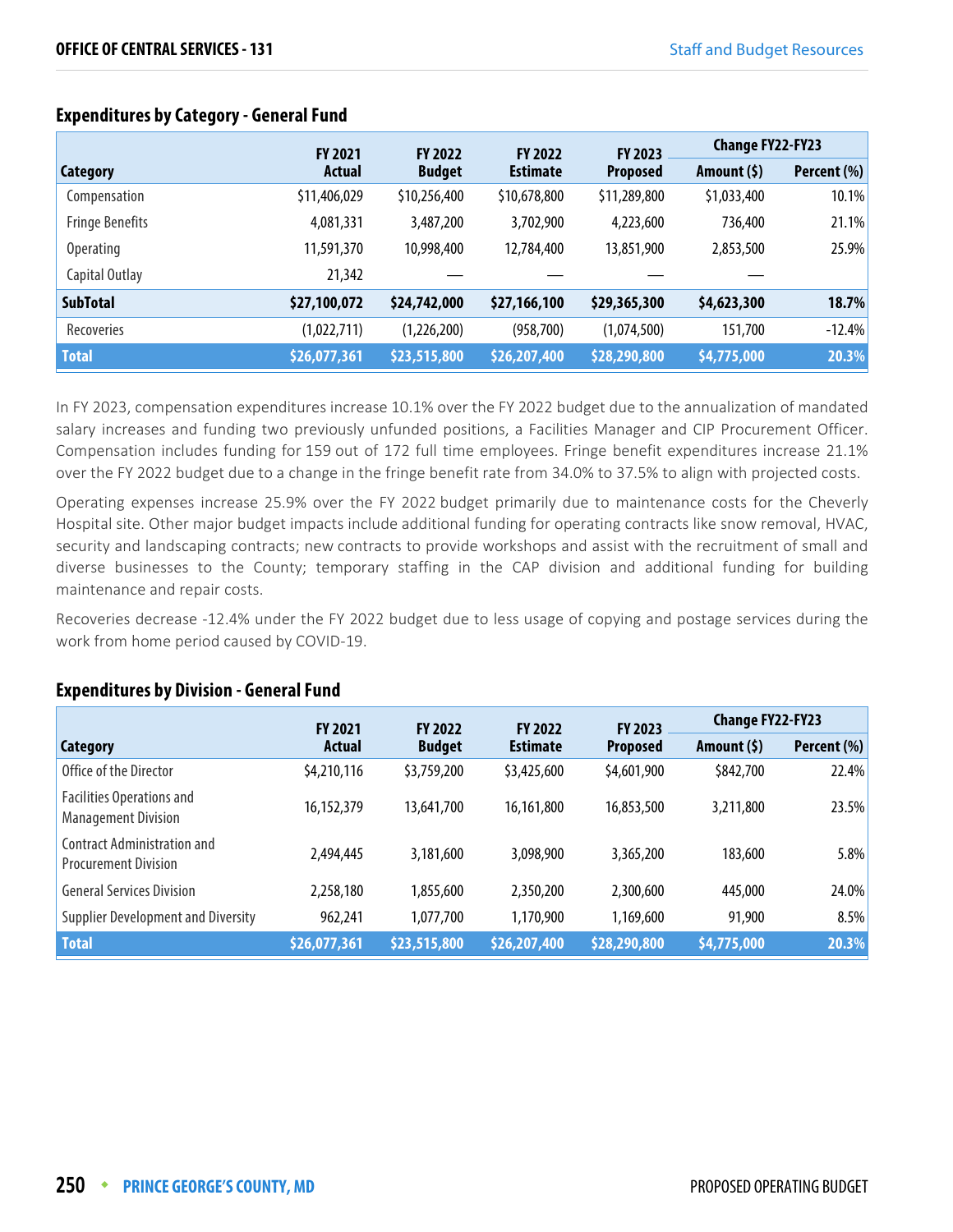|                        | <b>FY 2021</b> | <b>FY 2022</b> | <b>FY 2022</b>  | FY 2023         | <b>Change FY22-FY23</b> |             |
|------------------------|----------------|----------------|-----------------|-----------------|-------------------------|-------------|
| <b>Category</b>        | <b>Actual</b>  | <b>Budget</b>  | <b>Estimate</b> | <b>Proposed</b> | Amount $(5)$            | Percent (%) |
| Compensation           | \$11,406,029   | \$10,256,400   | \$10,678,800    | \$11,289,800    | \$1,033,400             | 10.1%       |
| <b>Fringe Benefits</b> | 4,081,331      | 3,487,200      | 3,702,900       | 4,223,600       | 736,400                 | 21.1%       |
| <b>Operating</b>       | 11,591,370     | 10,998,400     | 12,784,400      | 13,851,900      | 2,853,500               | 25.9%       |
| Capital Outlay         | 21,342         |                |                 |                 |                         |             |
| <b>SubTotal</b>        | \$27,100,072   | \$24,742,000   | \$27,166,100    | \$29,365,300    | \$4,623,300             | 18.7%       |
| Recoveries             | (1,022,711)    | (1,226,200)    | (958, 700)      | (1,074,500)     | 151,700                 | $-12.4%$    |
| <b>Total</b>           | \$26,077,361   | \$23,515,800   | \$26,207,400    | \$28,290,800    | \$4,775,000             | 20.3%       |

#### **Expenditures by Category - General Fund**

In FY 2023, compensation expenditures increase 10.1% over the FY 2022 budget due to the annualization of mandated salary increases and funding two previously unfunded positions, a Facilities Manager and CIP Procurement Officer. Compensation includes funding for 159 out of 172 full time employees. Fringe benefit expenditures increase 21.1% over the FY 2022 budget due to a change in the fringe benefit rate from 34.0% to 37.5% to align with projected costs.

Operating expenses increase 25.9% over the FY 2022 budget primarily due to maintenance costs for the Cheverly Hospital site. Other major budget impacts include additional funding for operating contracts like snow removal, HVAC, security and landscaping contracts; new contracts to provide workshops and assist with the recruitment of small and diverse businesses to the County; temporary staffing in the CAP division and additional funding for building maintenance and repair costs.

Recoveries decrease -12.4% under the FY 2022 budget due to less usage of copying and postage services during the work from home period caused by COVID-19.

## **Expenditures by Division - General Fund**

|                                                                   | <b>FY 2023</b><br><b>FY 2021</b><br><b>FY 2022</b><br><b>FY 2022</b> |               |                 | <b>Change FY22-FY23</b> |              |             |
|-------------------------------------------------------------------|----------------------------------------------------------------------|---------------|-----------------|-------------------------|--------------|-------------|
| Category                                                          | <b>Actual</b>                                                        | <b>Budget</b> | <b>Estimate</b> | <b>Proposed</b>         | Amount $(5)$ | Percent (%) |
| Office of the Director                                            | \$4,210,116                                                          | \$3,759,200   | \$3,425,600     | \$4,601,900             | \$842,700    | 22.4%       |
| <b>Facilities Operations and</b><br><b>Management Division</b>    | 16,152,379                                                           | 13,641,700    | 16,161,800      | 16,853,500              | 3,211,800    | 23.5%       |
| <b>Contract Administration and</b><br><b>Procurement Division</b> | 2,494,445                                                            | 3,181,600     | 3,098,900       | 3,365,200               | 183,600      | 5.8%        |
| <b>General Services Division</b>                                  | 2,258,180                                                            | 1,855,600     | 2,350,200       | 2,300,600               | 445,000      | 24.0%       |
| <b>Supplier Development and Diversity</b>                         | 962,241                                                              | 1,077,700     | 1,170,900       | 1,169,600               | 91,900       | 8.5%        |
| <b>Total</b>                                                      | \$26,077,361                                                         | \$23,515,800  | \$26,207,400    | \$28,290,800            | \$4,775,000  | 20.3%       |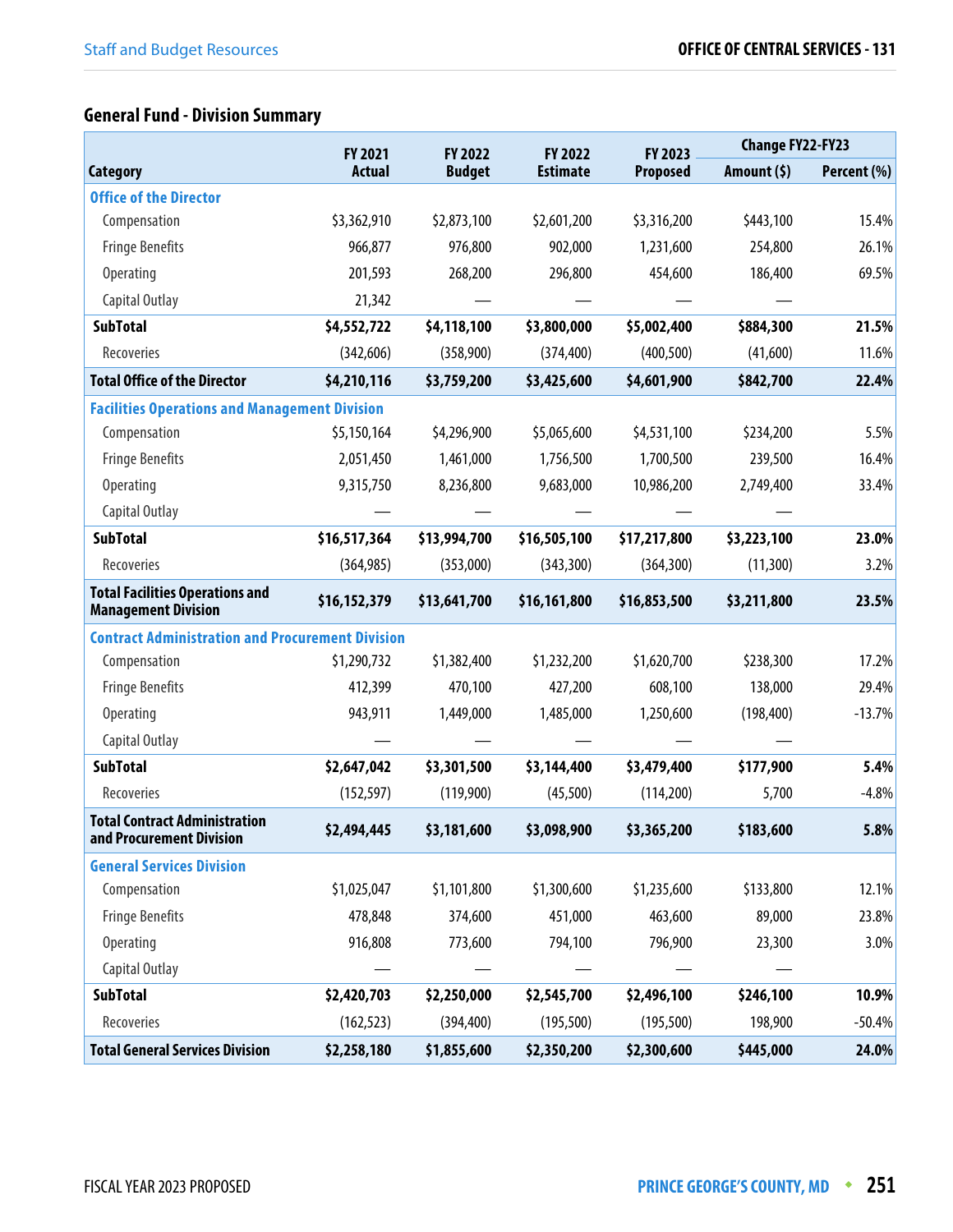# **General Fund - Division Summary**

|                                                                      |               | FY 2021<br>FY 2022 |                            | FY 2023         | <b>Change FY22-FY23</b> |             |
|----------------------------------------------------------------------|---------------|--------------------|----------------------------|-----------------|-------------------------|-------------|
| <b>Category</b>                                                      | <b>Actual</b> | <b>Budget</b>      | FY 2022<br><b>Estimate</b> | <b>Proposed</b> | Amount $(5)$            | Percent (%) |
| <b>Office of the Director</b>                                        |               |                    |                            |                 |                         |             |
| Compensation                                                         | \$3,362,910   | \$2,873,100        | \$2,601,200                | \$3,316,200     | \$443,100               | 15.4%       |
| <b>Fringe Benefits</b>                                               | 966,877       | 976,800            | 902,000                    | 1,231,600       | 254,800                 | 26.1%       |
| Operating                                                            | 201,593       | 268,200            | 296,800                    | 454,600         | 186,400                 | 69.5%       |
| Capital Outlay                                                       | 21,342        |                    |                            |                 |                         |             |
| <b>SubTotal</b>                                                      | \$4,552,722   | \$4,118,100        | \$3,800,000                | \$5,002,400     | \$884,300               | 21.5%       |
| Recoveries                                                           | (342, 606)    | (358,900)          | (374, 400)                 | (400, 500)      | (41,600)                | 11.6%       |
| <b>Total Office of the Director</b>                                  | \$4,210,116   | \$3,759,200        | \$3,425,600                | \$4,601,900     | \$842,700               | 22.4%       |
| <b>Facilities Operations and Management Division</b>                 |               |                    |                            |                 |                         |             |
| Compensation                                                         | \$5,150,164   | \$4,296,900        | \$5,065,600                | \$4,531,100     | \$234,200               | 5.5%        |
| <b>Fringe Benefits</b>                                               | 2,051,450     | 1,461,000          | 1,756,500                  | 1,700,500       | 239,500                 | 16.4%       |
| <b>Operating</b>                                                     | 9,315,750     | 8,236,800          | 9,683,000                  | 10,986,200      | 2,749,400               | 33.4%       |
| Capital Outlay                                                       |               |                    |                            |                 |                         |             |
| <b>SubTotal</b>                                                      | \$16,517,364  | \$13,994,700       | \$16,505,100               | \$17,217,800    | \$3,223,100             | 23.0%       |
| Recoveries                                                           | (364, 985)    | (353,000)          | (343, 300)                 | (364, 300)      | (11,300)                | 3.2%        |
| <b>Total Facilities Operations and</b><br><b>Management Division</b> | \$16,152,379  | \$13,641,700       | \$16,161,800               | \$16,853,500    | \$3,211,800             | 23.5%       |
| <b>Contract Administration and Procurement Division</b>              |               |                    |                            |                 |                         |             |
| Compensation                                                         | \$1,290,732   | \$1,382,400        | \$1,232,200                | \$1,620,700     | \$238,300               | 17.2%       |
| <b>Fringe Benefits</b>                                               | 412,399       | 470,100            | 427,200                    | 608,100         | 138,000                 | 29.4%       |
| Operating                                                            | 943,911       | 1,449,000          | 1,485,000                  | 1,250,600       | (198, 400)              | $-13.7%$    |
| Capital Outlay                                                       |               |                    |                            |                 |                         |             |
| <b>SubTotal</b>                                                      | \$2,647,042   | \$3,301,500        | \$3,144,400                | \$3,479,400     | \$177,900               | 5.4%        |
| Recoveries                                                           | (152, 597)    | (119,900)          | (45,500)                   | (114,200)       | 5,700                   | $-4.8%$     |
| <b>Total Contract Administration</b><br>and Procurement Division     | \$2,494,445   | \$3,181,600        | \$3,098,900                | \$3,365,200     | \$183,600               | 5.8%        |
| <b>General Services Division</b>                                     |               |                    |                            |                 |                         |             |
| Compensation                                                         | \$1,025,047   | \$1,101,800        | \$1,300,600                | \$1,235,600     | \$133,800               | 12.1%       |
| <b>Fringe Benefits</b>                                               | 478,848       | 374,600            | 451,000                    | 463,600         | 89,000                  | 23.8%       |
| Operating                                                            | 916,808       | 773,600            | 794,100                    | 796,900         | 23,300                  | 3.0%        |
| Capital Outlay                                                       |               |                    |                            |                 |                         |             |
| <b>SubTotal</b>                                                      | \$2,420,703   | \$2,250,000        | \$2,545,700                | \$2,496,100     | \$246,100               | 10.9%       |
| Recoveries                                                           | (162, 523)    | (394, 400)         | (195, 500)                 | (195, 500)      | 198,900                 | $-50.4%$    |
| <b>Total General Services Division</b>                               | \$2,258,180   | \$1,855,600        | \$2,350,200                | \$2,300,600     | \$445,000               | 24.0%       |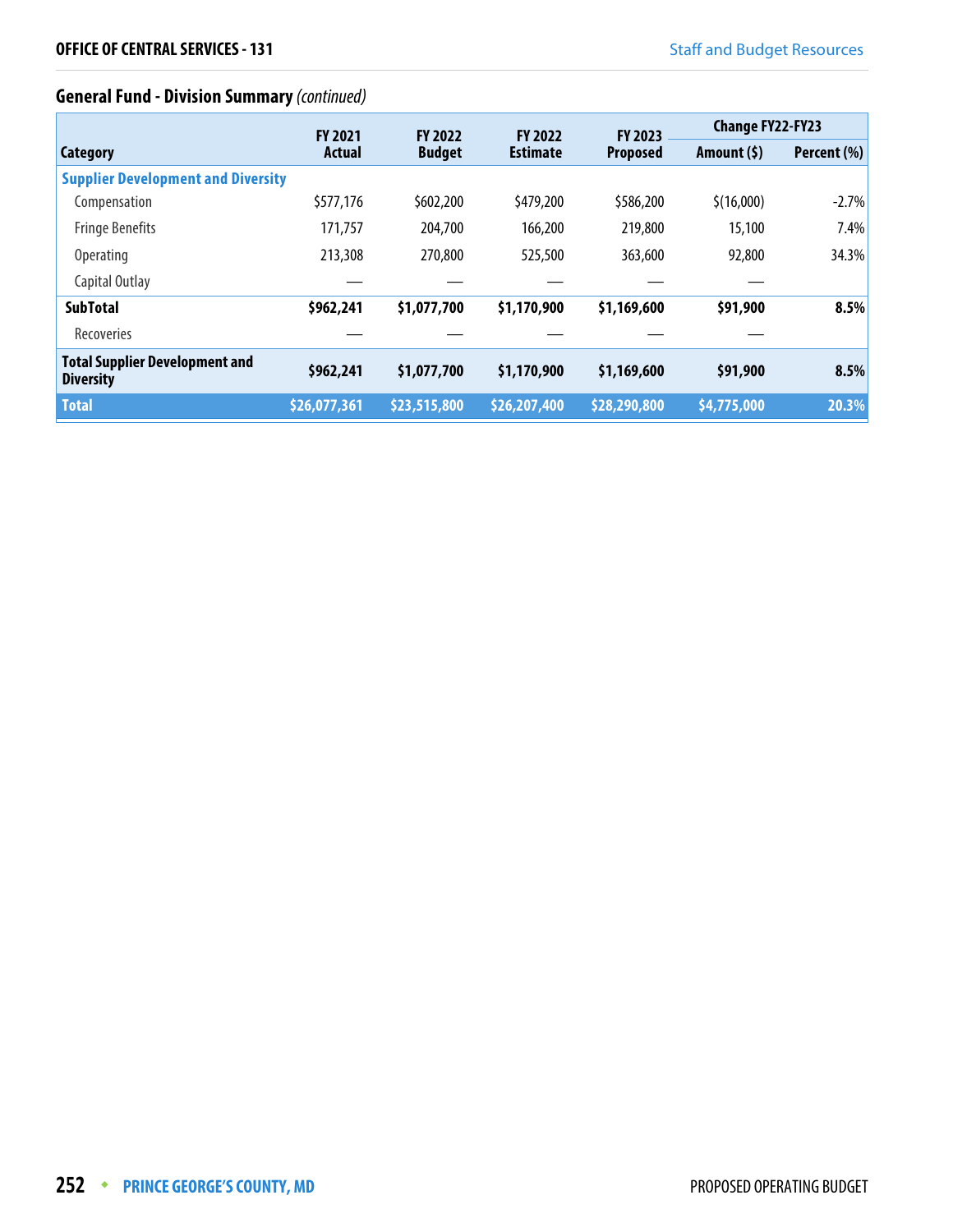# **General Fund - Division Summary** (continued)

|                                                           | <b>FY 2021</b> |               | <b>FY 2022</b><br><b>FY 2022</b> |                                   | <b>Change FY22-FY23</b> |             |
|-----------------------------------------------------------|----------------|---------------|----------------------------------|-----------------------------------|-------------------------|-------------|
| <b>Category</b>                                           | Actual         | <b>Budget</b> | <b>Estimate</b>                  | <b>FY 2023</b><br><b>Proposed</b> | Amount (\$)             | Percent (%) |
| <b>Supplier Development and Diversity</b>                 |                |               |                                  |                                   |                         |             |
| Compensation                                              | \$577,176      | \$602,200     | \$479,200                        | \$586,200                         | \$(16,000)              | $-2.7%$     |
| <b>Fringe Benefits</b>                                    | 171,757        | 204,700       | 166,200                          | 219,800                           | 15,100                  | 7.4%        |
| <b>Operating</b>                                          | 213,308        | 270,800       | 525,500                          | 363,600                           | 92,800                  | 34.3%       |
| Capital Outlay                                            |                |               |                                  |                                   |                         |             |
| <b>SubTotal</b>                                           | \$962,241      | \$1,077,700   | \$1,170,900                      | \$1,169,600                       | \$91,900                | 8.5%        |
| Recoveries                                                |                |               |                                  |                                   |                         |             |
| <b>Total Supplier Development and</b><br><b>Diversity</b> | \$962,241      | \$1,077,700   | \$1,170,900                      | \$1,169,600                       | \$91,900                | 8.5%        |
| <b>Total</b>                                              | \$26,077,361   | \$23,515,800  | \$26,207,400                     | \$28,290,800                      | \$4,775,000             | 20.3%       |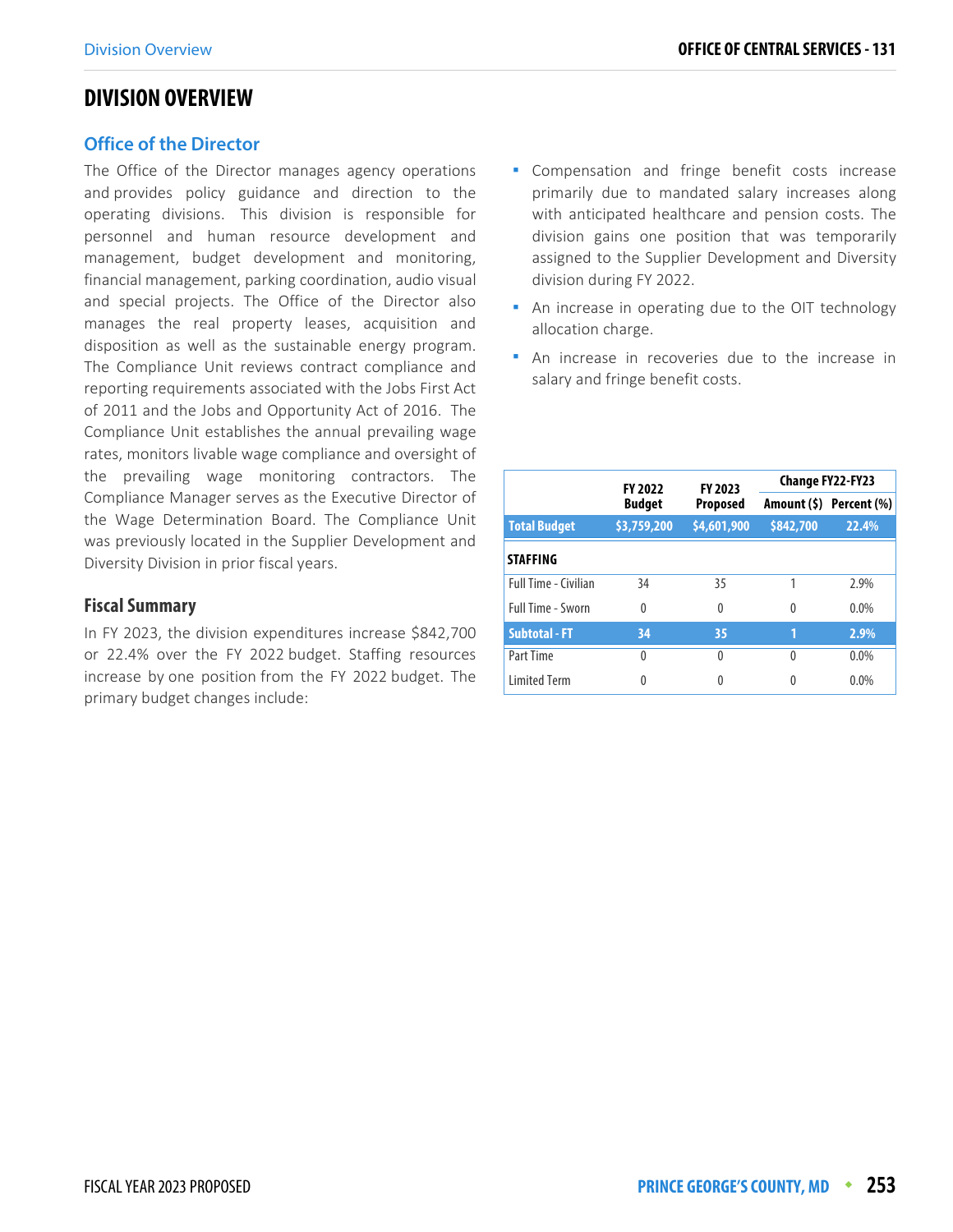### **DIVISION OVERVIEW**

#### **Office of the Director**

The Office of the Director manages agency operations and provides policy guidance and direction to the operating divisions. This division is responsible for personnel and human resource development and management, budget development and monitoring, financial management, parking coordination, audio visual and special projects. The Office of the Director also manages the real property leases, acquisition and disposition as well as the sustainable energy program. The Compliance Unit reviews contract compliance and reporting requirements associated with the Jobs First Act of 2011 and the Jobs and Opportunity Act of 2016. The Compliance Unit establishes the annual prevailing wage rates, monitors livable wage compliance and oversight of the prevailing wage monitoring contractors. The Compliance Manager serves as the Executive Director of the Wage Determination Board. The Compliance Unit was previously located in the Supplier Development and Diversity Division in prior fiscal years.

#### **Fiscal Summary**

In FY 2023, the division expenditures increase \$842,700 or 22.4% over the FY 2022 budget. Staffing resources increase by one position from the FY 2022 budget. The primary budget changes include:

- Compensation and fringe benefit costs increase primarily due to mandated salary increases along with anticipated healthcare and pension costs. The division gains one position that was temporarily assigned to the Supplier Development and Diversity division during FY 2022.
- An increase in operating due to the OIT technology allocation charge.
- An increase in recoveries due to the increase in salary and fringe benefit costs.

|                             | <b>FY 2022</b> | FY 2023         |           | <b>Change FY22-FY23</b> |
|-----------------------------|----------------|-----------------|-----------|-------------------------|
|                             | <b>Budget</b>  | <b>Proposed</b> |           | Amount (\$) Percent (%) |
| <b>Total Budget</b>         | \$3,759,200    | \$4,601,900     | \$842,700 | 22.4%                   |
| <b>STAFFING</b>             |                |                 |           |                         |
| <b>Full Time - Civilian</b> | 34             | 35              |           | 2.9%                    |
| Full Time - Sworn           | $\theta$       | $\Omega$        | $\Omega$  | $0.0\%$                 |
| <b>Subtotal - FT</b>        | 34             | 35              | 1         | 2.9%                    |
| Part Time                   | 0              | 0               | 0         | $0.0\%$                 |
| <b>Limited Term</b>         | 0              | 0               | 0         | 0.0%                    |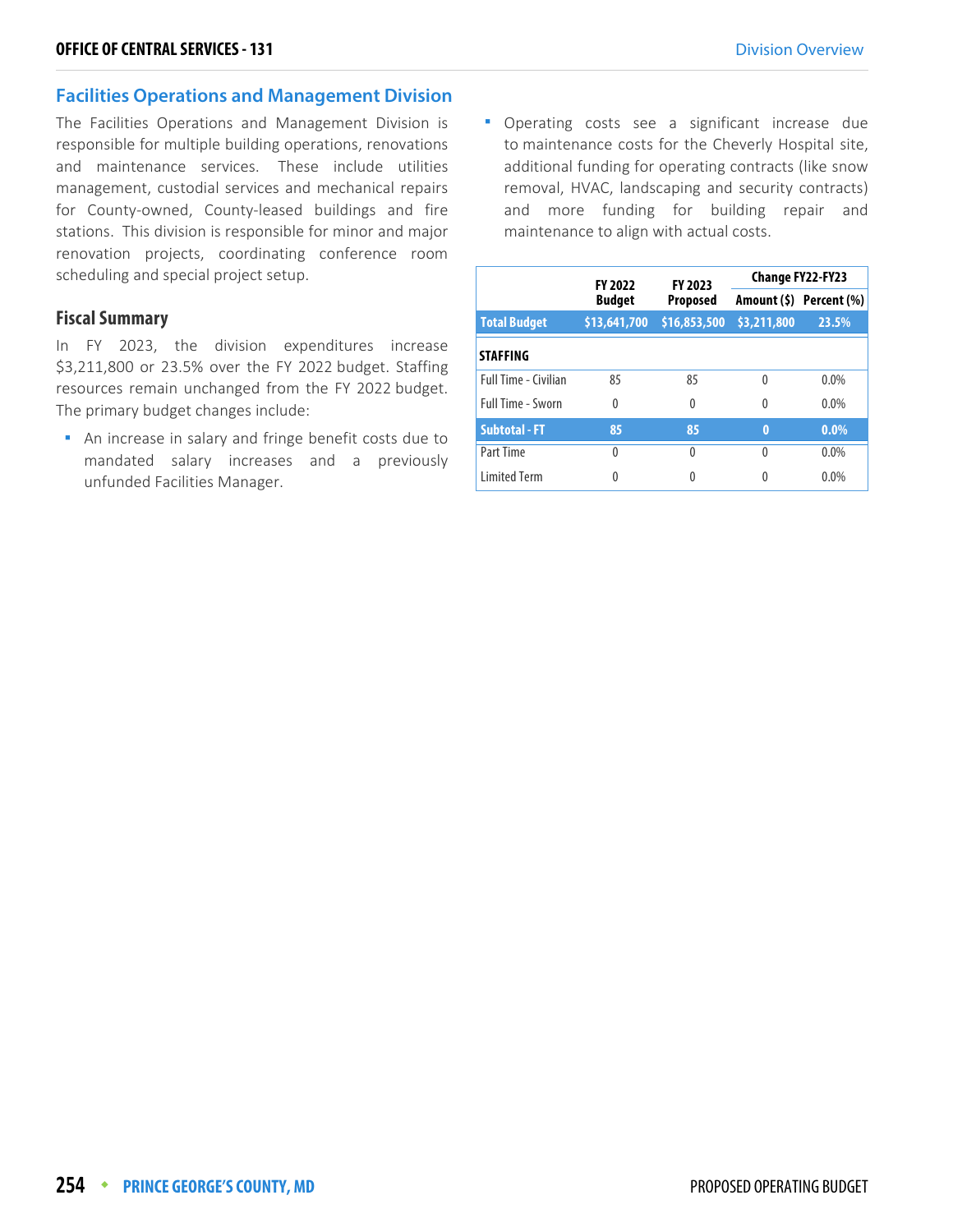#### **Facilities Operations and Management Division**

The Facilities Operations and Management Division is responsible for multiple building operations, renovations and maintenance services. These include utilities management, custodial services and mechanical repairs for County-owned, County-leased buildings and fire stations. This division is responsible for minor and major renovation projects, coordinating conference room scheduling and special project setup.

#### **Fiscal Summary**

In FY 2023, the division expenditures increase \$3,211,800 or 23.5% over the FY 2022 budget. Staffing resources remain unchanged from the FY 2022 budget. The primary budget changes include:

 An increase in salary and fringe benefit costs due to mandated salary increases and a previously unfunded Facilities Manager.

**•** Operating costs see a significant increase due to maintenance costs for the Cheverly Hospital site, additional funding for operating contracts (like snow removal, HVAC, landscaping and security contracts) and more funding for building repair and maintenance to align with actual costs.

|                             | <b>FY 2022</b> | FY 2023         |                         | <b>Change FY22-FY23</b> |
|-----------------------------|----------------|-----------------|-------------------------|-------------------------|
|                             | <b>Budget</b>  | <b>Proposed</b> | Amount (\$) Percent (%) |                         |
| <b>Total Budget</b>         | \$13,641,700   | \$16,853,500    | \$3,211,800             | 23.5%                   |
| <b>STAFFING</b>             |                |                 |                         |                         |
| <b>Full Time - Civilian</b> | 85             | 85              | 0                       | $0.0\%$                 |
| <b>Full Time - Sworn</b>    | $\Omega$       | 0               | $\Omega$                | $0.0\%$                 |
| <b>Subtotal - FT</b>        | 85             | 85              | $\mathbf{0}$            | $0.0\%$                 |
| Part Time                   | 0              | 0               | 0                       | $0.0\%$                 |
| <b>Limited Term</b>         |                |                 |                         | $0.0\%$                 |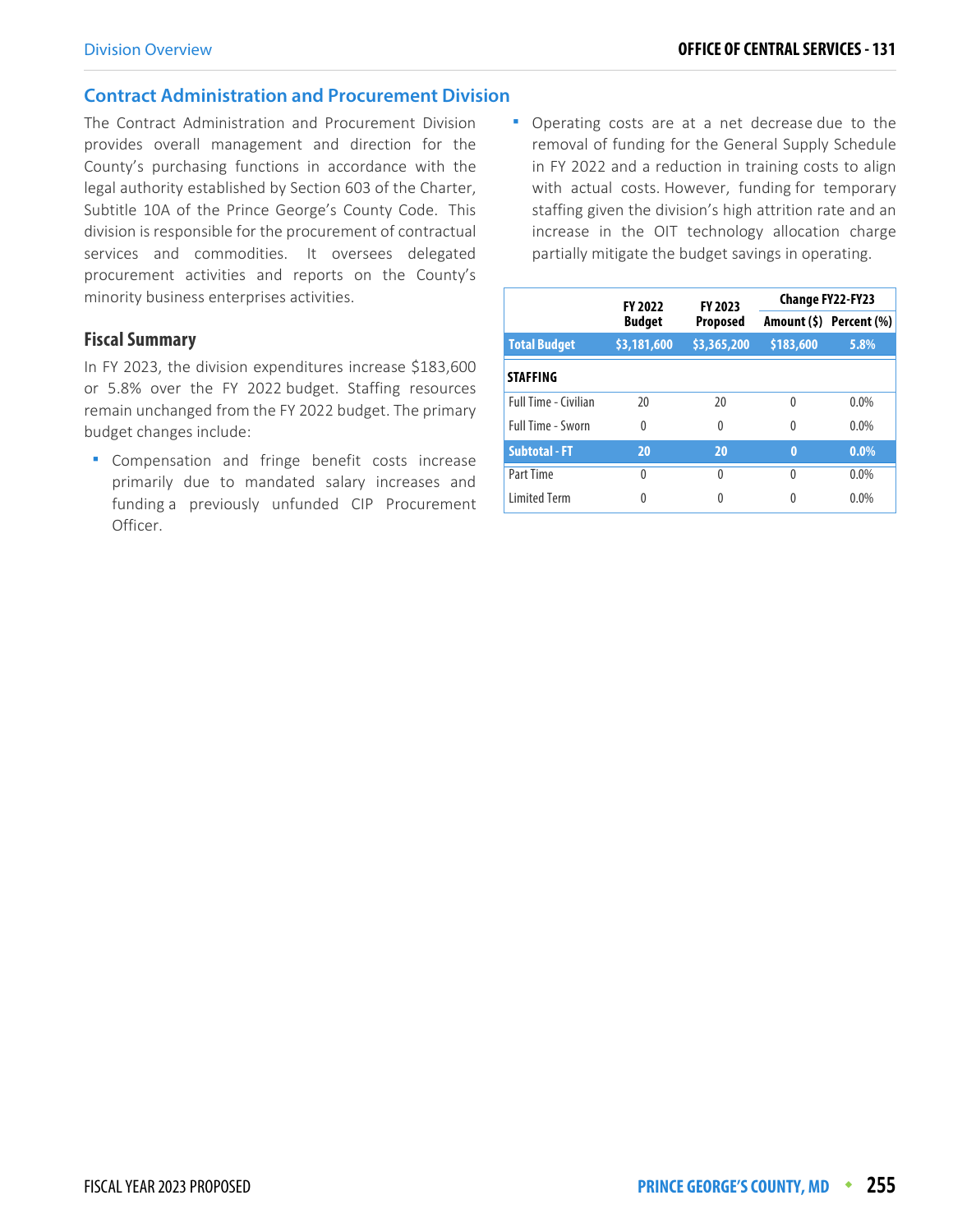#### **Contract Administration and Procurement Division**

The Contract Administration and Procurement Division provides overall management and direction for the County's purchasing functions in accordance with the legal authority established by Section 603 of the Charter, Subtitle 10A of the Prince George's County Code. This division is responsible for the procurement of contractual services and commodities. It oversees delegated procurement activities and reports on the County's minority business enterprises activities.

#### **Fiscal Summary**

In FY 2023, the division expenditures increase \$183,600 or 5.8% over the FY 2022 budget. Staffing resources remain unchanged from the FY 2022 budget. The primary budget changes include:

**Compensation and fringe benefit costs increase** primarily due to mandated salary increases and funding a previously unfunded CIP Procurement Officer.

 Operating costs are at a net decrease due to the removal of funding for the General Supply Schedule in FY 2022 and a reduction in training costs to align with actual costs. However, funding for temporary staffing given the division's high attrition rate and an increase in the OIT technology allocation charge partially mitigate the budget savings in operating.

|                             | <b>FY 2022</b> | FY 2023     | <b>Change FY22-FY23</b> |                         |  |
|-----------------------------|----------------|-------------|-------------------------|-------------------------|--|
|                             | <b>Budget</b>  | Proposed    |                         | Amount (\$) Percent (%) |  |
| <b>Total Budget</b>         | \$3,181,600    | \$3,365,200 | \$183,600               | 5.8%                    |  |
| <b>STAFFING</b>             |                |             |                         |                         |  |
| <b>Full Time - Civilian</b> | 20             | 20          | $\Omega$                | $0.0\%$                 |  |
| <b>Full Time - Sworn</b>    | $\Omega$       | $\Omega$    | $\Omega$                | $0.0\%$                 |  |
| <b>Subtotal - FT</b>        | 20             | 20          | $\bf{0}$                | $0.0\%$                 |  |
| Part Time                   | $\Omega$       | 0           | $\Omega$                | $0.0\%$                 |  |
| <b>Limited Term</b>         | 0              | 0           | 0                       | $0.0\%$                 |  |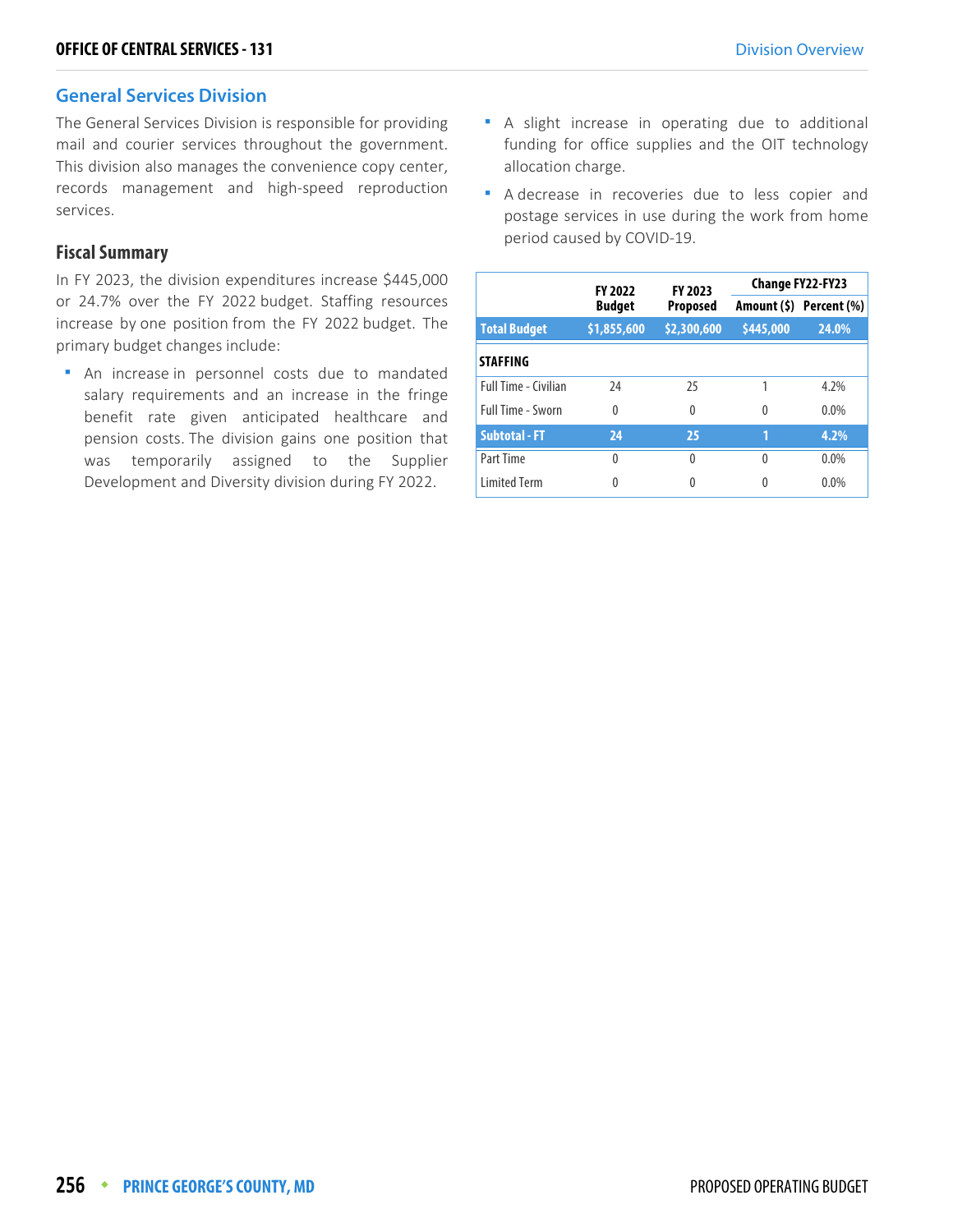#### **General Services Division**

The General Services Division is responsible for providing mail and courier services throughout the government. This division also manages the convenience copy center, records management and high-speed reproduction services.

#### **Fiscal Summary**

In FY 2023, the division expenditures increase \$445,000 or 24.7% over the FY 2022 budget. Staffing resources increase by one position from the FY 2022 budget. The primary budget changes include:

 An increase in personnel costs due to mandated salary requirements and an increase in the fringe benefit rate given anticipated healthcare and pension costs. The division gains one position that was temporarily assigned to the Supplier Development and Diversity division during FY 2022.

- **A** slight increase in operating due to additional funding for office supplies and the OIT technology allocation charge.
- A decrease in recoveries due to less copier and postage services in use during the work from home period caused by COVID-19.

|                             |               | <b>FY 2023</b><br><b>FY 2022</b> |           | <b>Change FY22-FY23</b> |
|-----------------------------|---------------|----------------------------------|-----------|-------------------------|
|                             | <b>Budget</b> | <b>Proposed</b>                  |           | Amount (\$) Percent (%) |
| <b>Total Budget</b>         | \$1,855,600   | \$2,300,600                      | \$445,000 | 24.0%                   |
| <b>STAFFING</b>             |               |                                  |           |                         |
| <b>Full Time - Civilian</b> | 24            | 25                               |           | 4.2%                    |
| Full Time - Sworn           | $\Omega$      | 0                                | 0         | $0.0\%$                 |
| <b>Subtotal - FT</b>        | 24            | 25                               | 1         | 4.2%                    |
| Part Time                   | $\Omega$      | 0                                | 0         | $0.0\%$                 |
| <b>Limited Term</b>         | 0             | Λ                                |           | 0.0%                    |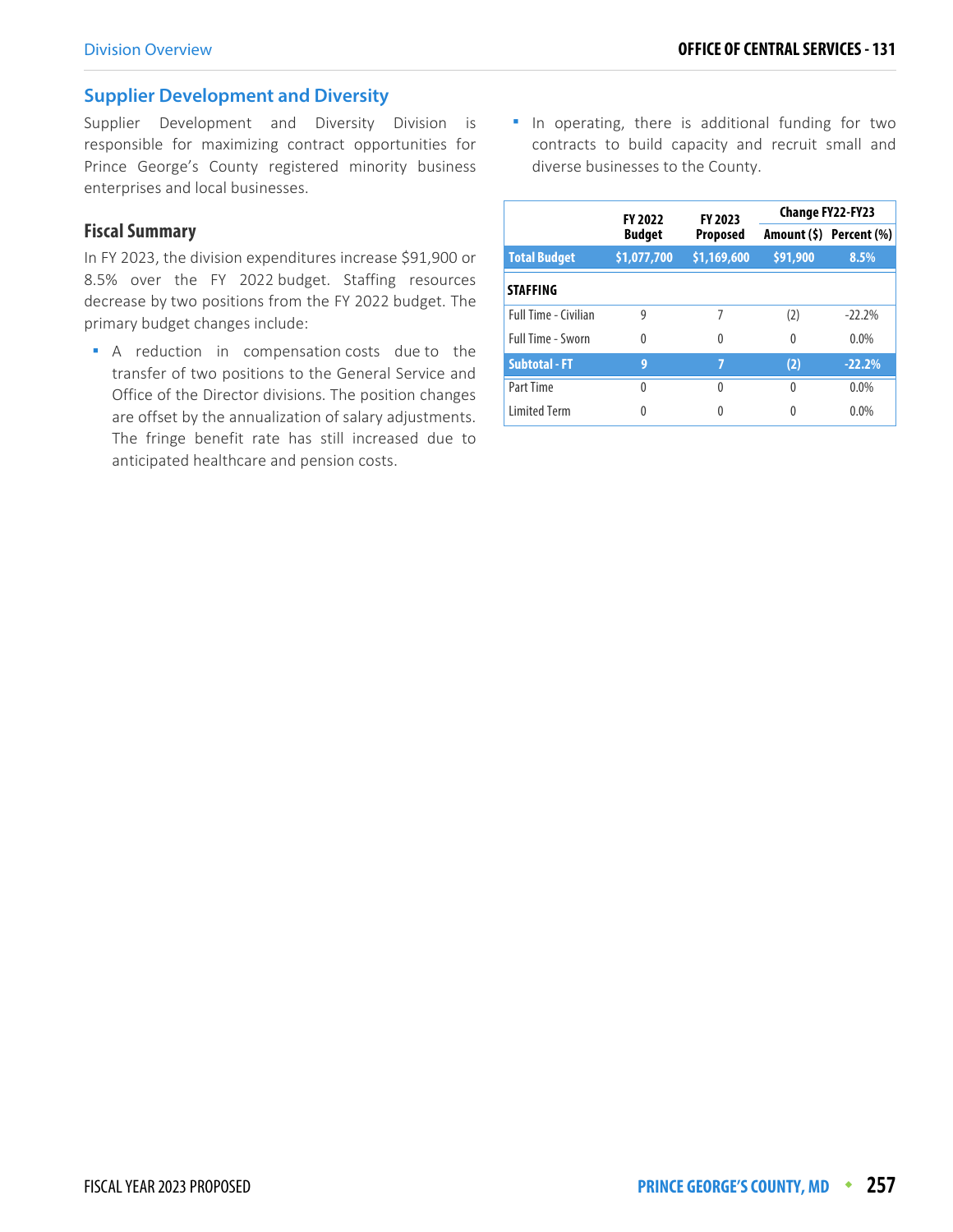#### **Supplier Development and Diversity**

Supplier Development and Diversity Division is responsible for maximizing contract opportunities for Prince George's County registered minority business enterprises and local businesses.

#### **Fiscal Summary**

In FY 2023, the division expenditures increase \$91,900 or 8.5% over the FY 2022 budget. Staffing resources decrease by two positions from the FY 2022 budget. The primary budget changes include:

A reduction in compensation costs due to the transfer of two positions to the General Service and Office of the Director divisions. The position changes are offset by the annualization of salary adjustments. The fringe benefit rate has still increased due to anticipated healthcare and pension costs.

**I** In operating, there is additional funding for two contracts to build capacity and recruit small and diverse businesses to the County.

|                             | <b>FY 2022</b> | FY 2023         |          | <b>Change FY22-FY23</b> |
|-----------------------------|----------------|-----------------|----------|-------------------------|
|                             | <b>Budget</b>  | <b>Proposed</b> |          | Amount (\$) Percent (%) |
| <b>Total Budget</b>         | \$1,077,700    | \$1,169,600     | \$91,900 | 8.5%                    |
| <b>STAFFING</b>             |                |                 |          |                         |
| <b>Full Time - Civilian</b> | 9              | 7               | (2)      | $-22.2%$                |
| Full Time - Sworn           | $\Omega$       | 0               | 0        | $0.0\%$                 |
| <b>Subtotal - FT</b>        | 9              | 7               | (2)      | $-22.2%$                |
| Part Time                   | 0              | 0               | $\Omega$ | $0.0\%$                 |
| <b>Limited Term</b>         | 0              | O               | 0        | 0.0%                    |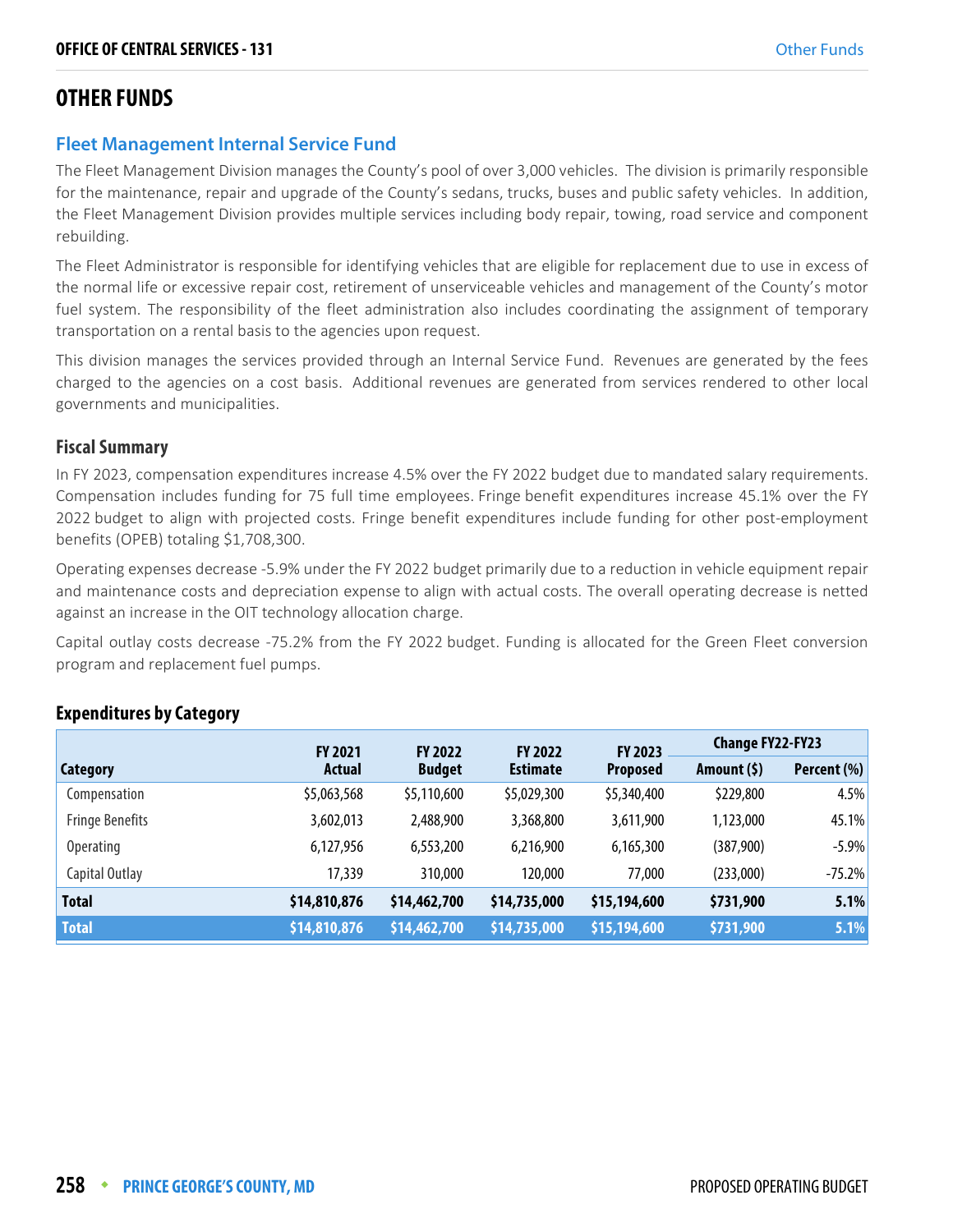## **OTHER FUNDS**

## **Fleet Management Internal Service Fund**

The Fleet Management Division manages the County's pool of over 3,000 vehicles. The division is primarily responsible for the maintenance, repair and upgrade of the County's sedans, trucks, buses and public safety vehicles. In addition, the Fleet Management Division provides multiple services including body repair, towing, road service and component rebuilding.

The Fleet Administrator is responsible for identifying vehicles that are eligible for replacement due to use in excess of the normal life or excessive repair cost, retirement of unserviceable vehicles and management of the County's motor fuel system. The responsibility of the fleet administration also includes coordinating the assignment of temporary transportation on a rental basis to the agencies upon request.

This division manages the services provided through an Internal Service Fund. Revenues are generated by the fees charged to the agencies on a cost basis. Additional revenues are generated from services rendered to other local governments and municipalities.

#### **Fiscal Summary**

In FY 2023, compensation expenditures increase 4.5% over the FY 2022 budget due to mandated salary requirements. Compensation includes funding for 75 full time employees. Fringe benefit expenditures increase 45.1% over the FY 2022 budget to align with projected costs. Fringe benefit expenditures include funding for other post-employment benefits (OPEB) totaling \$1,708,300.

Operating expenses decrease -5.9% under the FY 2022 budget primarily due to a reduction in vehicle equipment repair and maintenance costs and depreciation expense to align with actual costs. The overall operating decrease is netted against an increase in the OIT technology allocation charge.

Capital outlay costs decrease -75.2% from the FY 2022 budget. Funding is allocated for the Green Fleet conversion program and replacement fuel pumps.

|                        | <b>FY 2021</b> | <b>FY 2022</b> | <b>FY 2022</b>  | <b>FY 2023</b>  | <b>Change FY22-FY23</b> |             |
|------------------------|----------------|----------------|-----------------|-----------------|-------------------------|-------------|
| <b>Category</b>        | <b>Actual</b>  | <b>Budget</b>  | <b>Estimate</b> | <b>Proposed</b> | Amount (\$)             | Percent (%) |
| Compensation           | \$5,063,568    | \$5,110,600    | \$5,029,300     | \$5,340,400     | \$229,800               | 4.5%        |
| <b>Fringe Benefits</b> | 3,602,013      | 2,488,900      | 3,368,800       | 3,611,900       | 1,123,000               | 45.1%       |
| <b>Operating</b>       | 6,127,956      | 6,553,200      | 6,216,900       | 6,165,300       | (387,900)               | $-5.9%$     |
| Capital Outlay         | 17,339         | 310,000        | 120,000         | 77,000          | (233,000)               | $-75.2%$    |
| <b>Total</b>           | \$14,810,876   | \$14,462,700   | \$14,735,000    | \$15,194,600    | \$731,900               | 5.1%        |
| <b>Total</b>           | \$14,810,876   | \$14,462,700   | \$14,735,000    | \$15,194,600    | \$731,900               | 5.1%        |

#### **Expenditures by Category**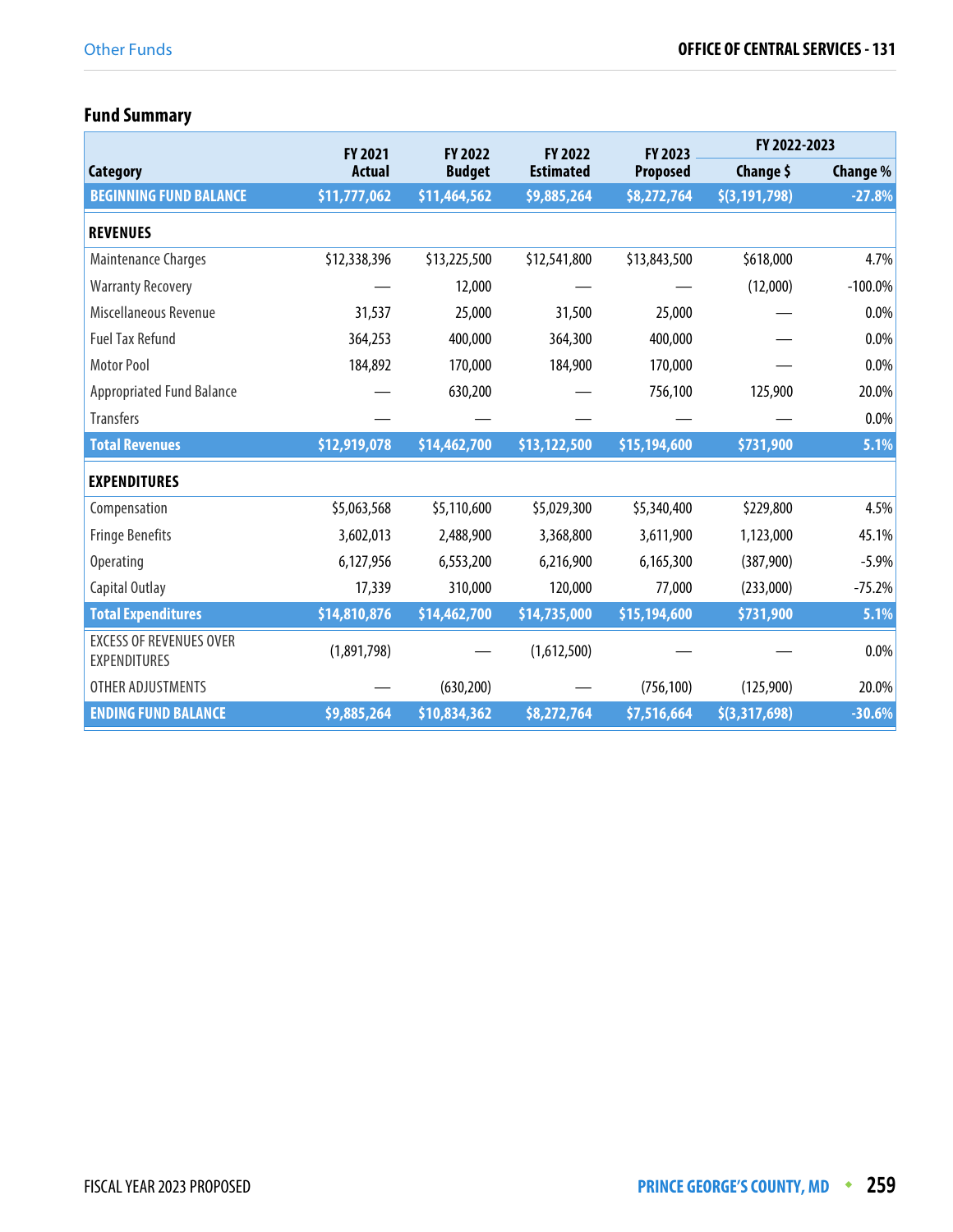# **Fund Summary**

|                                                       | <b>FY 2021</b> | <b>FY 2022</b> | <b>FY 2022</b>   | <b>FY 2023</b>  | FY 2022-2023    |                 |
|-------------------------------------------------------|----------------|----------------|------------------|-----------------|-----------------|-----------------|
| Category                                              | <b>Actual</b>  | <b>Budget</b>  | <b>Estimated</b> | <b>Proposed</b> | Change \$       | <b>Change %</b> |
| <b>BEGINNING FUND BALANCE</b>                         | \$11,777,062   | \$11,464,562   | \$9,885,264      | \$8,272,764     | \$(3, 191, 798) | $-27.8%$        |
| <b>REVENUES</b>                                       |                |                |                  |                 |                 |                 |
| Maintenance Charges                                   | \$12,338,396   | \$13,225,500   | \$12,541,800     | \$13,843,500    | \$618,000       | 4.7%            |
| <b>Warranty Recovery</b>                              |                | 12,000         |                  |                 | (12,000)        | $-100.0\%$      |
| Miscellaneous Revenue                                 | 31,537         | 25,000         | 31,500           | 25,000          |                 | 0.0%            |
| <b>Fuel Tax Refund</b>                                | 364,253        | 400,000        | 364,300          | 400,000         |                 | 0.0%            |
| Motor Pool                                            | 184,892        | 170,000        | 184,900          | 170,000         |                 | 0.0%            |
| <b>Appropriated Fund Balance</b>                      |                | 630,200        |                  | 756,100         | 125,900         | 20.0%           |
| <b>Transfers</b>                                      |                |                |                  |                 |                 | 0.0%            |
| <b>Total Revenues</b>                                 | \$12,919,078   | \$14,462,700   | \$13,122,500     | \$15,194,600    | \$731,900       | 5.1%            |
| <b>EXPENDITURES</b>                                   |                |                |                  |                 |                 |                 |
| Compensation                                          | \$5,063,568    | \$5,110,600    | \$5,029,300      | \$5,340,400     | \$229,800       | 4.5%            |
| <b>Fringe Benefits</b>                                | 3,602,013      | 2,488,900      | 3,368,800        | 3,611,900       | 1,123,000       | 45.1%           |
| <b>Operating</b>                                      | 6,127,956      | 6,553,200      | 6,216,900        | 6,165,300       | (387,900)       | $-5.9%$         |
| Capital Outlay                                        | 17,339         | 310,000        | 120,000          | 77,000          | (233,000)       | $-75.2%$        |
| <b>Total Expenditures</b>                             | \$14,810,876   | \$14,462,700   | \$14,735,000     | \$15,194,600    | \$731,900       | 5.1%            |
| <b>EXCESS OF REVENUES OVER</b><br><b>EXPENDITURES</b> | (1,891,798)    |                | (1,612,500)      |                 |                 | 0.0%            |
| OTHER ADJUSTMENTS                                     |                | (630, 200)     |                  | (756, 100)      | (125,900)       | 20.0%           |
| <b>ENDING FUND BALANCE</b>                            | \$9,885,264    | \$10,834,362   | \$8,272,764      | \$7,516,664     | \$(3,317,698)   | $-30.6%$        |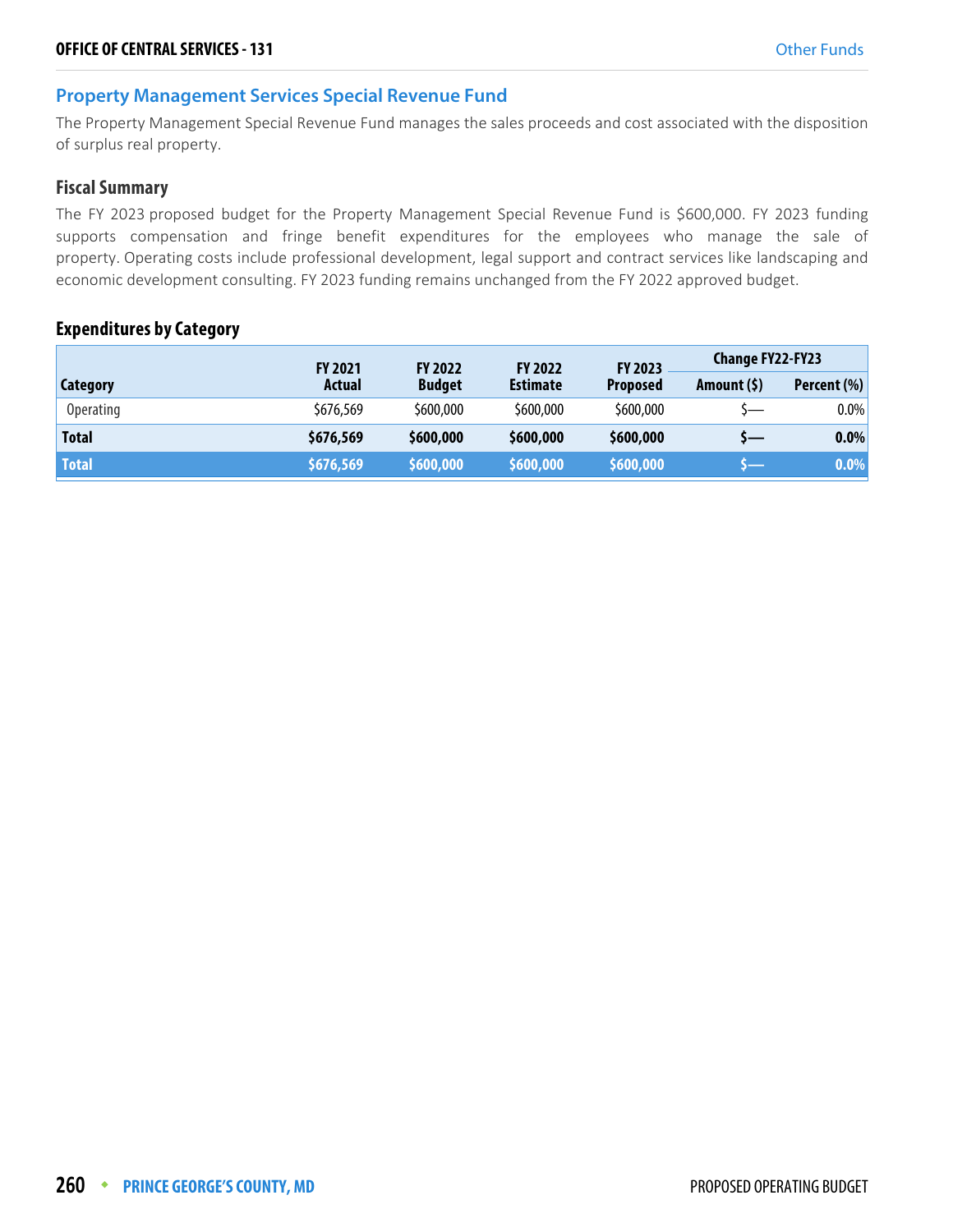#### **Property Management Services Special Revenue Fund**

The Property Management Special Revenue Fund manages the sales proceeds and cost associated with the disposition of surplus real property.

#### **Fiscal Summary**

The FY 2023 proposed budget for the Property Management Special Revenue Fund is \$600,000. FY 2023 funding supports compensation and fringe benefit expenditures for the employees who manage the sale of property. Operating costs include professional development, legal support and contract services like landscaping and economic development consulting. FY 2023 funding remains unchanged from the FY 2022 approved budget.

#### **Expenditures by Category**

|                  | <b>FY 2021</b> | <b>FY 2022</b> | <b>FY 2022</b>  | FY 2023         | Change FY22-FY23 |             |
|------------------|----------------|----------------|-----------------|-----------------|------------------|-------------|
| Category         | Actual         | <b>Budget</b>  | <b>Estimate</b> | <b>Proposed</b> | Amount $(5)$     | Percent (%) |
| <b>Operating</b> | \$676,569      | \$600,000      | \$600,000       | \$600,000       | $\overline{}$    | $0.0\%$     |
| <b>Total</b>     | \$676,569      | \$600,000      | \$600,000       | \$600,000       | ) —              | $0.0\%$     |
| <b>Total</b>     | \$676,569      | \$600,000      | \$600,000       | \$600,000       |                  | $0.0\%$     |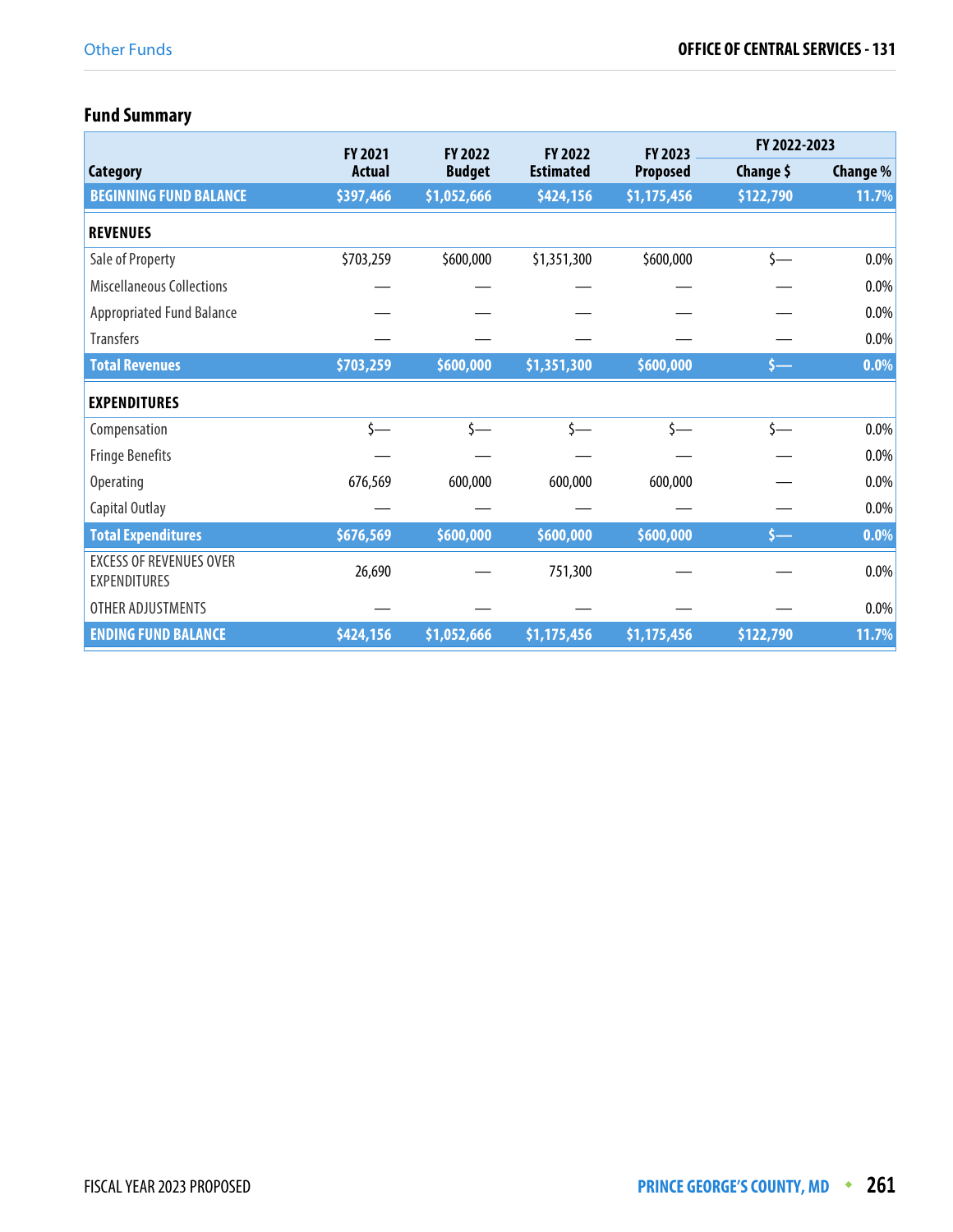# **Fund Summary**

|                                                       | <b>FY 2021</b> | <b>FY 2022</b> | <b>FY 2022</b>   | <b>FY 2023</b>  | FY 2022-2023  |          |
|-------------------------------------------------------|----------------|----------------|------------------|-----------------|---------------|----------|
| <b>Category</b>                                       | <b>Actual</b>  | <b>Budget</b>  | <b>Estimated</b> | <b>Proposed</b> | Change \$     | Change % |
| <b>BEGINNING FUND BALANCE</b>                         | \$397,466      | \$1,052,666    | \$424,156        | \$1,175,456     | \$122,790     | 11.7%    |
| <b>REVENUES</b>                                       |                |                |                  |                 |               |          |
| Sale of Property                                      | \$703,259      | \$600,000      | \$1,351,300      | \$600,000       | $\zeta$ —     | $0.0\%$  |
| <b>Miscellaneous Collections</b>                      |                |                |                  |                 |               | $0.0\%$  |
| <b>Appropriated Fund Balance</b>                      |                |                |                  |                 |               | $0.0\%$  |
| <b>Transfers</b>                                      |                |                |                  |                 |               | $0.0\%$  |
| <b>Total Revenues</b>                                 | \$703,259      | \$600,000      | \$1,351,300      | \$600,000       | $5 -$         | $0.0\%$  |
| <b>EXPENDITURES</b>                                   |                |                |                  |                 |               |          |
| Compensation                                          | $\zeta$ —      | $\zeta$ —      | \$—              | \$—             | $\zeta$ —     | $0.0\%$  |
| <b>Fringe Benefits</b>                                |                |                |                  |                 |               | $0.0\%$  |
| <b>Operating</b>                                      | 676,569        | 600,000        | 600,000          | 600,000         |               | $0.0\%$  |
| Capital Outlay                                        |                |                |                  |                 |               | 0.0%     |
| <b>Total Expenditures</b>                             | \$676,569      | \$600,000      | \$600,000        | \$600,000       | $\mathsf{S}-$ | 0.0%     |
| <b>EXCESS OF REVENUES OVER</b><br><b>EXPENDITURES</b> | 26,690         |                | 751,300          |                 |               | $0.0\%$  |
| OTHER ADJUSTMENTS                                     |                |                |                  |                 |               | $0.0\%$  |
| <b>ENDING FUND BALANCE</b>                            | \$424,156      | \$1,052,666    | \$1,175,456      | \$1,175,456     | \$122,790     | 11.7%    |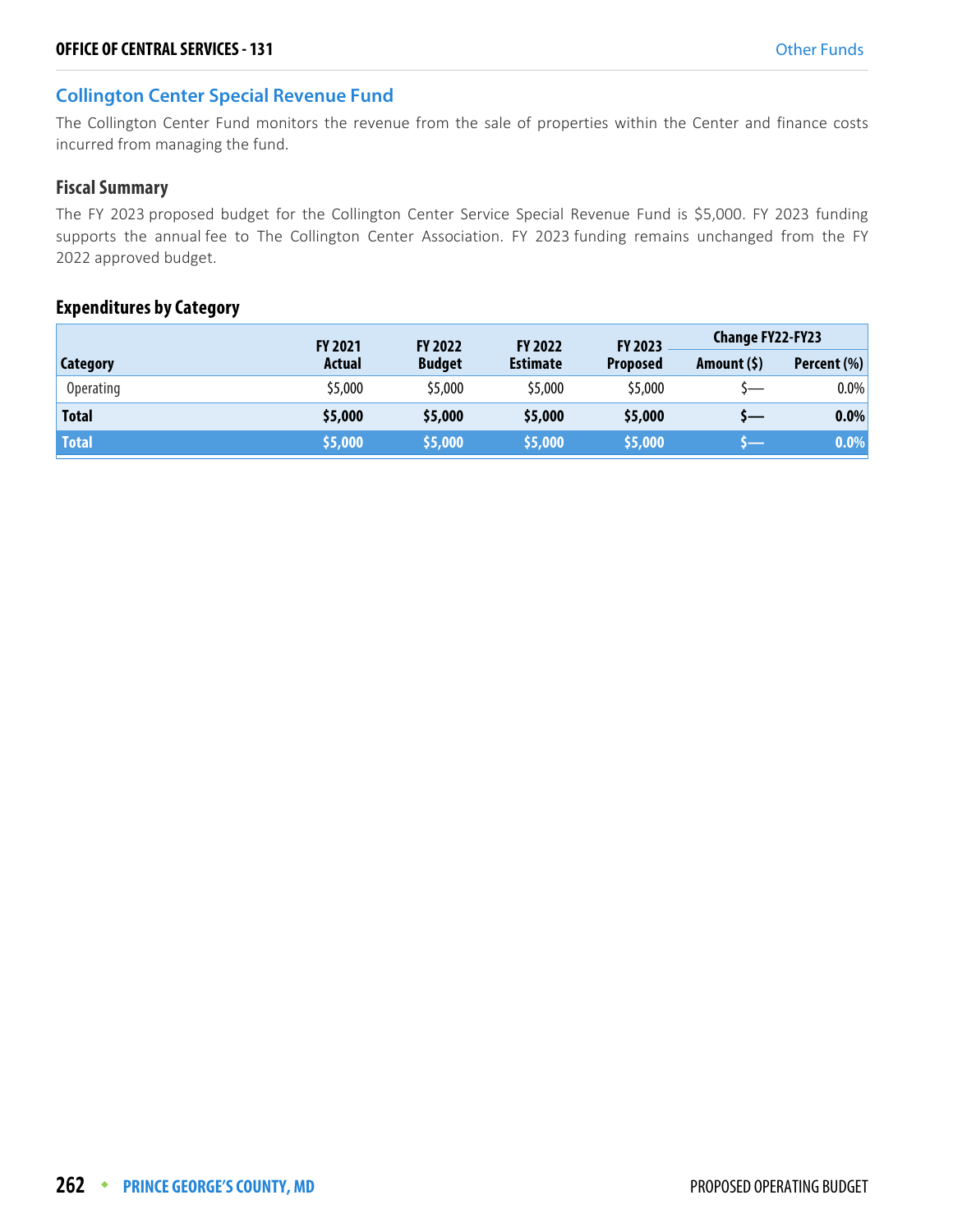#### **Collington Center Special Revenue Fund**

The Collington Center Fund monitors the revenue from the sale of properties within the Center and finance costs incurred from managing the fund.

#### **Fiscal Summary**

The FY 2023 proposed budget for the Collington Center Service Special Revenue Fund is \$5,000. FY 2023 funding supports the annual fee to The Collington Center Association. FY 2023 funding remains unchanged from the FY 2022 approved budget.

#### **Expenditures by Category**

|                  | <b>FY 2021</b> | <b>FY 2022</b> | <b>FY 2022</b>  | <b>FY 2023</b>  | <b>Change FY22-FY23</b> |             |
|------------------|----------------|----------------|-----------------|-----------------|-------------------------|-------------|
| Category         | Actual         | <b>Budget</b>  | <b>Estimate</b> | <b>Proposed</b> | Amount $(5)$            | Percent (%) |
| <b>Operating</b> | \$5,000        | \$5,000        | \$5,000         | \$5,000         |                         | $0.0\%$     |
| <b>Total</b>     | \$5,000        | \$5,000        | \$5,000         | \$5,000         | s—                      | $0.0\%$     |
| <b>Total</b>     | \$5,000        | \$5,000        | \$5,000         | \$5,000         |                         | 0.0%        |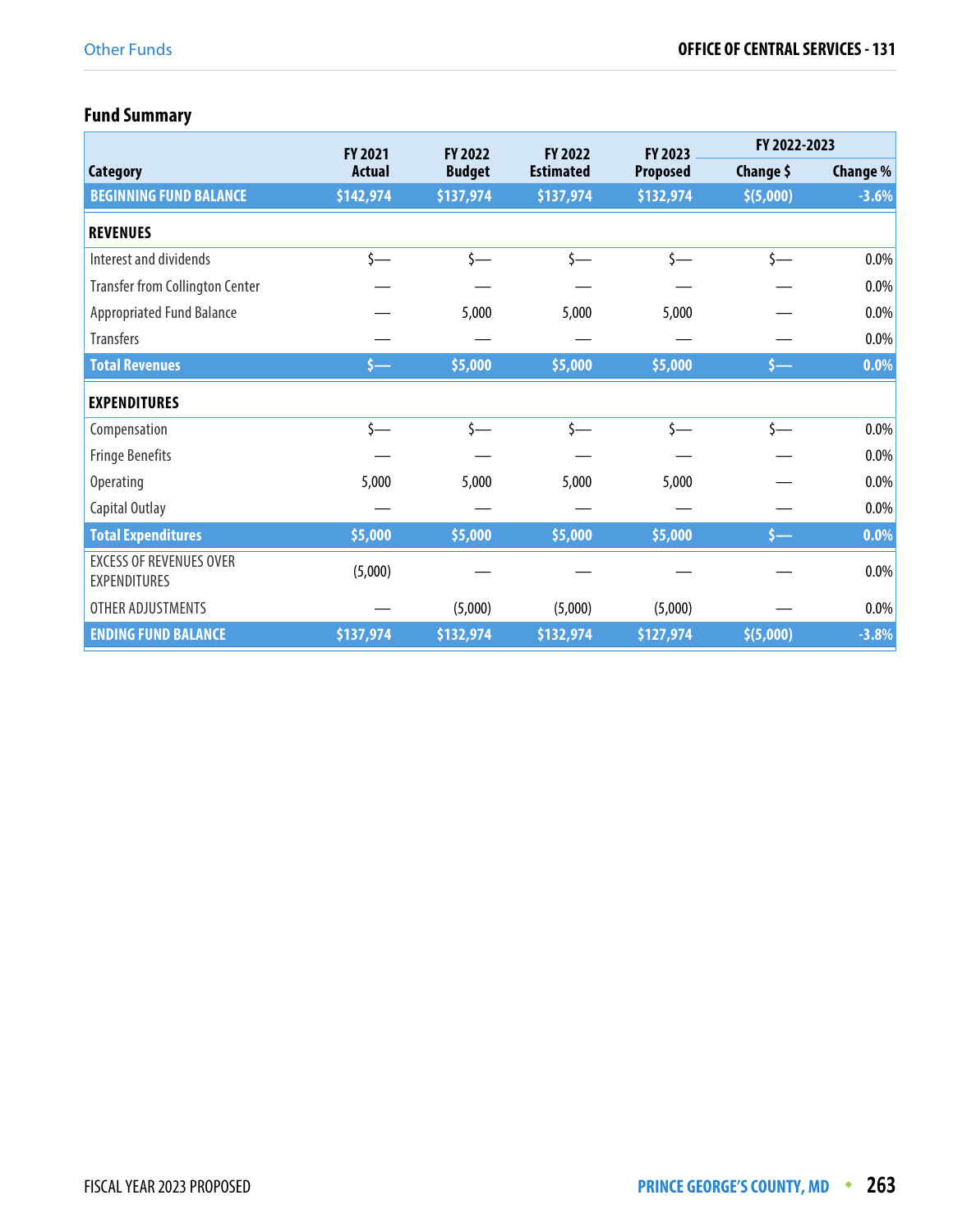# **Fund Summary**

|                                                       | <b>FY 2021</b> | <b>FY 2022</b> | <b>FY 2022</b>   | <b>FY 2023</b>  | FY 2022-2023     |          |
|-------------------------------------------------------|----------------|----------------|------------------|-----------------|------------------|----------|
| <b>Category</b>                                       | <b>Actual</b>  | <b>Budget</b>  | <b>Estimated</b> | <b>Proposed</b> | Change \$        | Change % |
| <b>BEGINNING FUND BALANCE</b>                         | \$142,974      | \$137,974      | \$137,974        | \$132,974       | \$ (5,000)       | $-3.6%$  |
| <b>REVENUES</b>                                       |                |                |                  |                 |                  |          |
| Interest and dividends                                | $\zeta$ —      | $\zeta$ —      | $\zeta$ —        | $\zeta$ —       | $\zeta$ —        | $0.0\%$  |
| <b>Transfer from Collington Center</b>                |                |                |                  |                 |                  | $0.0\%$  |
| <b>Appropriated Fund Balance</b>                      |                | 5,000          | 5,000            | 5,000           |                  | $0.0\%$  |
| <b>Transfers</b>                                      |                |                |                  |                 |                  | $0.0\%$  |
| <b>Total Revenues</b>                                 | $5-$           | \$5,000        | \$5,000          | \$5,000         | \$—              | 0.0%     |
| <b>EXPENDITURES</b>                                   |                |                |                  |                 |                  |          |
| Compensation                                          | $\sim$         | $\mathsf{S}-$  | $\zeta$ —        | $\zeta$ —       | $\zeta$ —        | $0.0\%$  |
| <b>Fringe Benefits</b>                                |                |                |                  |                 |                  | $0.0\%$  |
| <b>Operating</b>                                      | 5,000          | 5,000          | 5,000            | 5,000           |                  | $0.0\%$  |
| Capital Outlay                                        |                |                |                  |                 |                  | 0.0%     |
| <b>Total Expenditures</b>                             | \$5,000        | \$5,000        | \$5,000          | \$5,000         | $\longleftarrow$ | 0.0%     |
| <b>EXCESS OF REVENUES OVER</b><br><b>EXPENDITURES</b> | (5,000)        |                |                  |                 |                  | $0.0\%$  |
| OTHER ADJUSTMENTS                                     |                | (5,000)        | (5,000)          | (5,000)         |                  | $0.0\%$  |
| <b>ENDING FUND BALANCE</b>                            | \$137,974      | \$132,974      | \$132,974        | \$127,974       | \$(5,000)        | $-3.8%$  |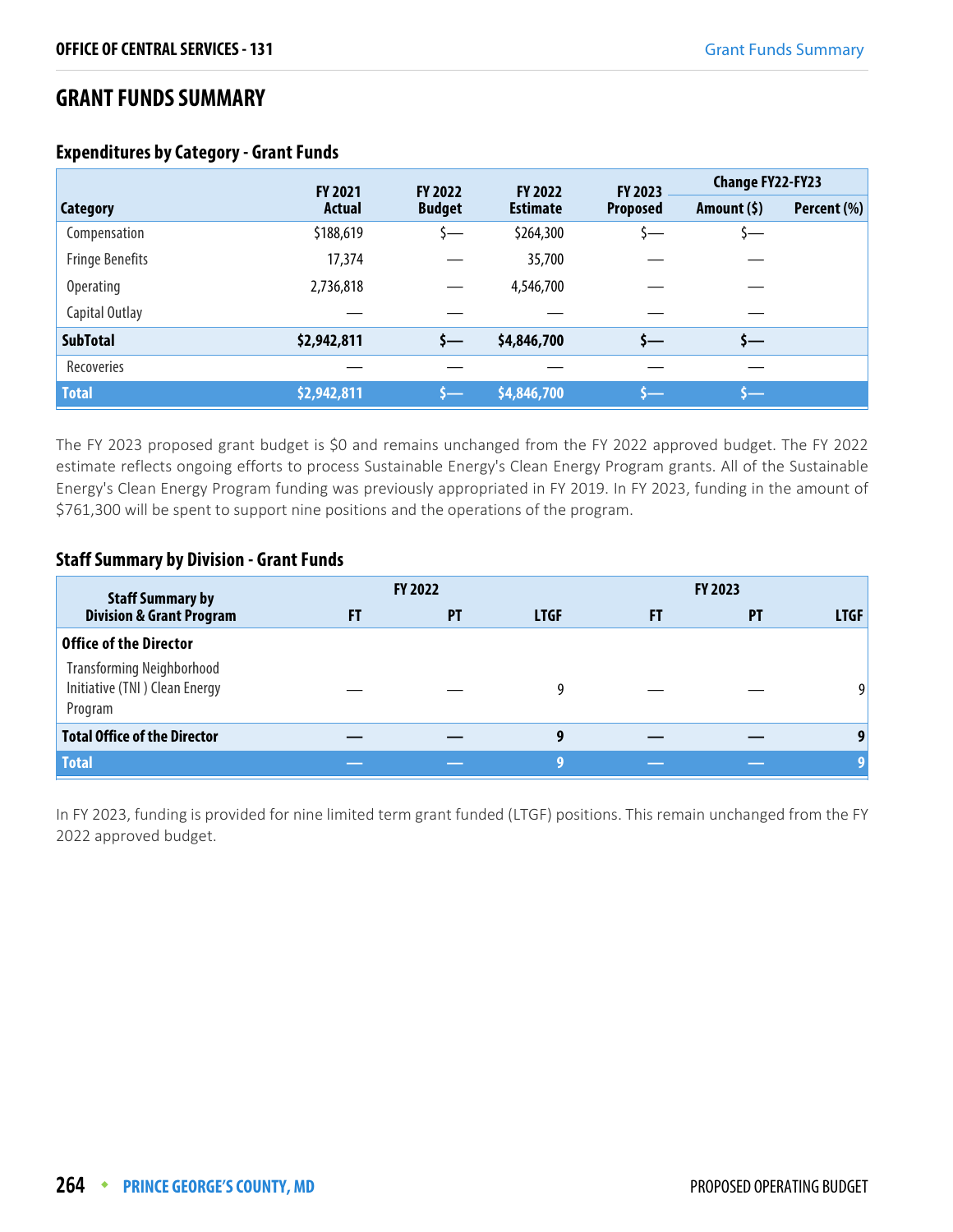## **GRANT FUNDS SUMMARY**

|                        | <b>FY 2021</b> | FY 2022       | <b>FY 2022</b>  | <b>FY 2023</b>  | <b>Change FY22-FY23</b> |             |
|------------------------|----------------|---------------|-----------------|-----------------|-------------------------|-------------|
| Category               | <b>Actual</b>  | <b>Budget</b> | <b>Estimate</b> | <b>Proposed</b> | Amount $(5)$            | Percent (%) |
| Compensation           | \$188,619      | —د            | \$264,300       |                 | ) —                     |             |
| <b>Fringe Benefits</b> | 17,374         |               | 35,700          |                 |                         |             |
| Operating              | 2,736,818      |               | 4,546,700       |                 |                         |             |
| Capital Outlay         |                |               |                 |                 |                         |             |
| <b>SubTotal</b>        | \$2,942,811    | s—            | \$4,846,700     | s—              | s—                      |             |
| Recoveries             |                |               |                 |                 |                         |             |
| <b>Total</b>           | \$2,942,811    |               | \$4,846,700     | 一               |                         |             |

#### **Expenditures by Category - Grant Funds**

The FY 2023 proposed grant budget is \$0 and remains unchanged from the FY 2022 approved budget. The FY 2022 estimate reflects ongoing efforts to process Sustainable Energy's Clean Energy Program grants. All of the Sustainable Energy's Clean Energy Program funding was previously appropriated in FY 2019. In FY 2023, funding in the amount of \$761,300 will be spent to support nine positions and the operations of the program.

#### **Staff Summary by Division - Grant Funds**

| <b>Staff Summary by</b>                                                      |    | <b>FY 2022</b> |             |    | <b>FY 2023</b> |             |
|------------------------------------------------------------------------------|----|----------------|-------------|----|----------------|-------------|
| <b>Division &amp; Grant Program</b>                                          | FT | <b>PT</b>      | <b>LTGF</b> | FT | <b>PT</b>      | <b>LTGF</b> |
| <b>Office of the Director</b>                                                |    |                |             |    |                |             |
| <b>Transforming Neighborhood</b><br>Initiative (TNI) Clean Energy<br>Program |    |                | 9           |    |                | 9           |
| <b>Total Office of the Director</b>                                          |    |                | 9           |    |                | 9           |
| <b>Total</b>                                                                 |    |                | -9          |    |                |             |

In FY 2023, funding is provided for nine limited term grant funded (LTGF) positions. This remain unchanged from the FY 2022 approved budget.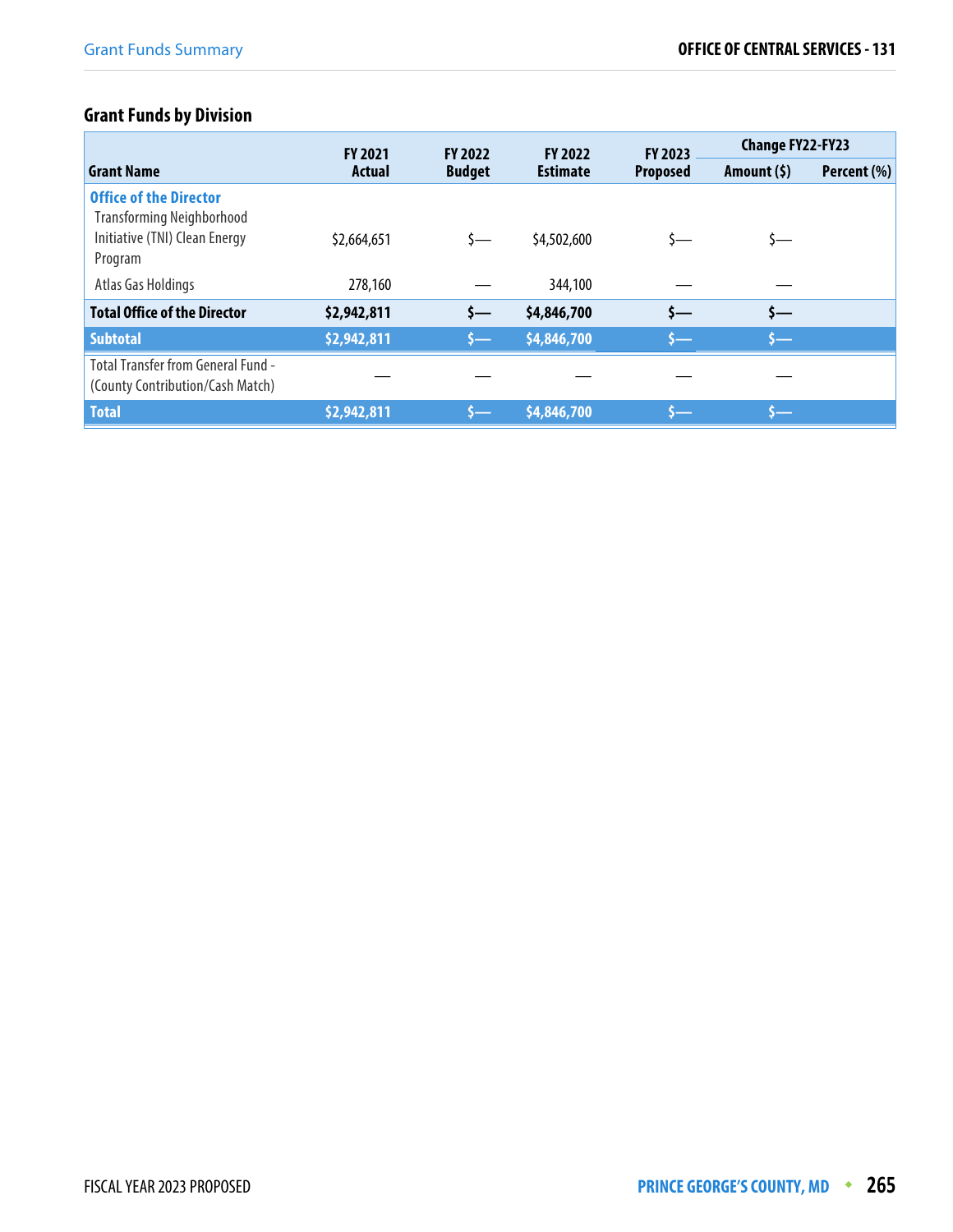# **Grant Funds by Division**

|                                                                                                               | <b>FY 2021</b> | <b>FY 2022</b> | <b>FY 2022</b>  | <b>FY 2023</b>  | <b>Change FY22-FY23</b> |             |
|---------------------------------------------------------------------------------------------------------------|----------------|----------------|-----------------|-----------------|-------------------------|-------------|
| <b>Grant Name</b>                                                                                             | <b>Actual</b>  | <b>Budget</b>  | <b>Estimate</b> | <b>Proposed</b> | Amount (\$)             | Percent (%) |
| <b>Office of the Director</b><br><b>Transforming Neighborhood</b><br>Initiative (TNI) Clean Energy<br>Program | \$2,664,651    | s—             | \$4,502,600     |                 | S—                      |             |
| Atlas Gas Holdings                                                                                            | 278,160        |                | 344,100         |                 |                         |             |
| <b>Total Office of the Director</b>                                                                           | \$2,942,811    | s—             | \$4,846,700     | s—              | $\zeta$ —               |             |
| <b>Subtotal</b>                                                                                               | \$2,942,811    | s—             | \$4,846,700     | s—              | <b>s—</b>               |             |
| <b>Total Transfer from General Fund -</b><br>(County Contribution/Cash Match)                                 |                |                |                 |                 |                         |             |
| Total                                                                                                         | \$2,942,811    |                | \$4,846,700     | s—              | s—                      |             |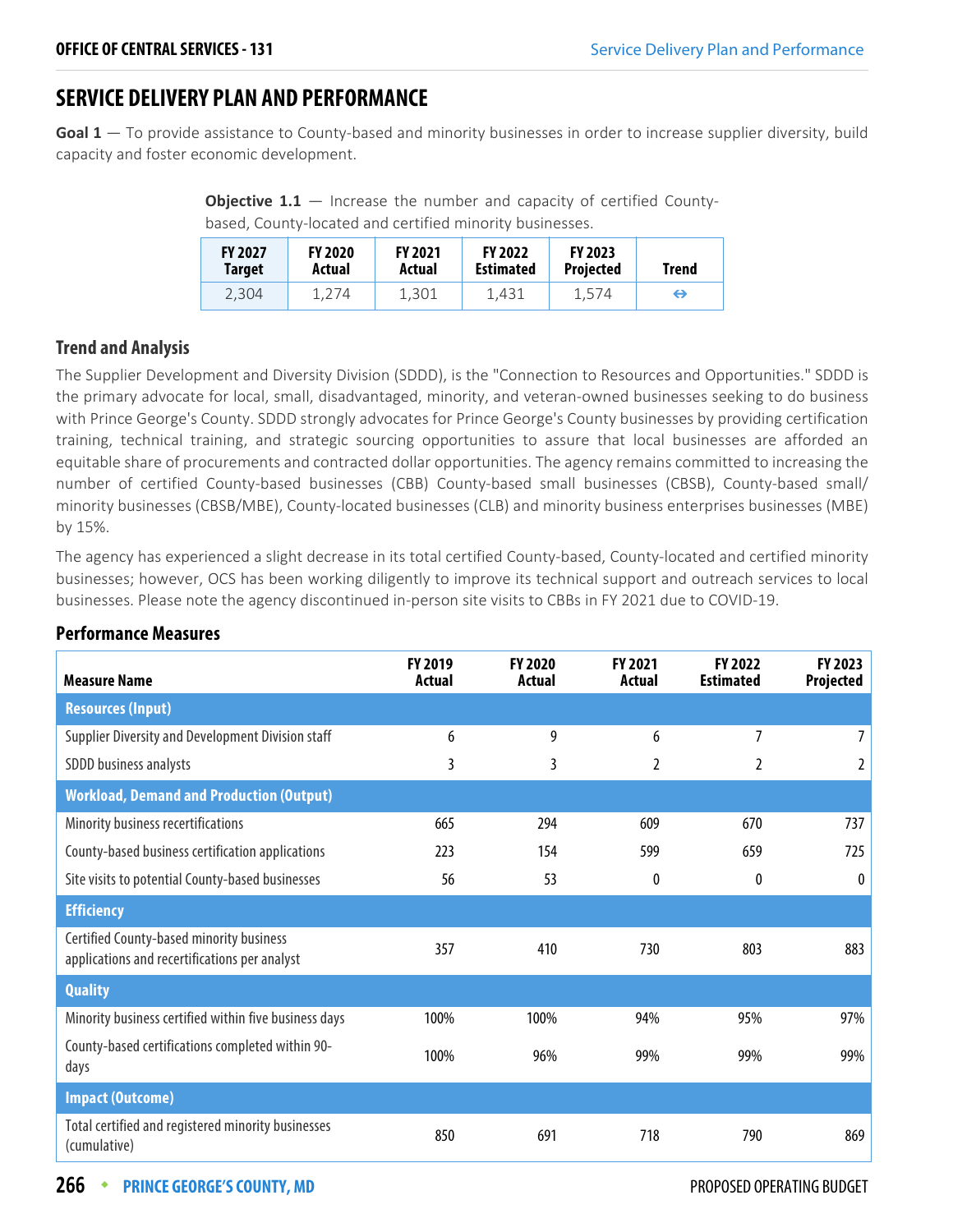## **SERVICE DELIVERY PLAN AND PERFORMANCE**

**Goal 1** — To provide assistance to County-based and minority businesses in order to increase supplier diversity, build capacity and foster economic development.

**Objective 1.1** – Increase the number and capacity of certified Countybased, County-located and certified minority businesses.

| <b>FY 2027</b> | <b>FY 2020</b> | <b>FY 2021</b> | <b>FY 2022</b>   | <b>FY 2023</b>   | Trend |
|----------------|----------------|----------------|------------------|------------------|-------|
| Target         | Actual         | Actual         | <b>Estimated</b> | <b>Projected</b> |       |
| 2.304          | 1,274          | 1.301          | 1.431            | 1.574            | ⇔     |

#### **Trend and Analysis**

The Supplier Development and Diversity Division (SDDD), is the "Connection to Resources and Opportunities." SDDD is the primary advocate for local, small, disadvantaged, minority, and veteran-owned businesses seeking to do business with Prince George's County. SDDD strongly advocates for Prince George's County businesses by providing certification training, technical training, and strategic sourcing opportunities to assure that local businesses are afforded an equitable share of procurements and contracted dollar opportunities. The agency remains committed to increasing the number of certified County-based businesses (CBB) County-based small businesses (CBSB), County-based small/ minority businesses (CBSB/MBE), County-located businesses (CLB) and minority business enterprises businesses (MBE) by 15%.

The agency has experienced a slight decrease in its total certified County-based, County-located and certified minority businesses; however, OCS has been working diligently to improve its technical support and outreach services to local businesses. Please note the agency discontinued in-person site visits to CBBs in FY 2021 due to COVID-19.

| <b>Measure Name</b>                                                                       | FY 2019<br>Actual | <b>FY 2020</b><br>Actual | <b>FY 2021</b><br>Actual | <b>FY 2022</b><br><b>Estimated</b> | FY 2023<br>Projected |
|-------------------------------------------------------------------------------------------|-------------------|--------------------------|--------------------------|------------------------------------|----------------------|
| <b>Resources (Input)</b>                                                                  |                   |                          |                          |                                    |                      |
| Supplier Diversity and Development Division staff                                         | 6                 | 9                        | 6                        | 7                                  |                      |
| SDDD business analysts                                                                    | 3                 | 3                        | 2                        | 2                                  |                      |
| <b>Workload, Demand and Production (Output)</b>                                           |                   |                          |                          |                                    |                      |
| Minority business recertifications                                                        | 665               | 294                      | 609                      | 670                                | 737                  |
| County-based business certification applications                                          | 223               | 154                      | 599                      | 659                                | 725                  |
| Site visits to potential County-based businesses                                          | 56                | 53                       | 0                        | 0                                  | $\theta$             |
| <b>Efficiency</b>                                                                         |                   |                          |                          |                                    |                      |
| Certified County-based minority business<br>applications and recertifications per analyst | 357               | 410                      | 730                      | 803                                | 883                  |
| <b>Quality</b>                                                                            |                   |                          |                          |                                    |                      |
| Minority business certified within five business days                                     | 100%              | 100%                     | 94%                      | 95%                                | 97%                  |
| County-based certifications completed within 90-<br>days                                  | 100%              | 96%                      | 99%                      | 99%                                | 99%                  |
| <b>Impact (Outcome)</b>                                                                   |                   |                          |                          |                                    |                      |
| Total certified and registered minority businesses<br>(cumulative)                        | 850               | 691                      | 718                      | 790                                | 869                  |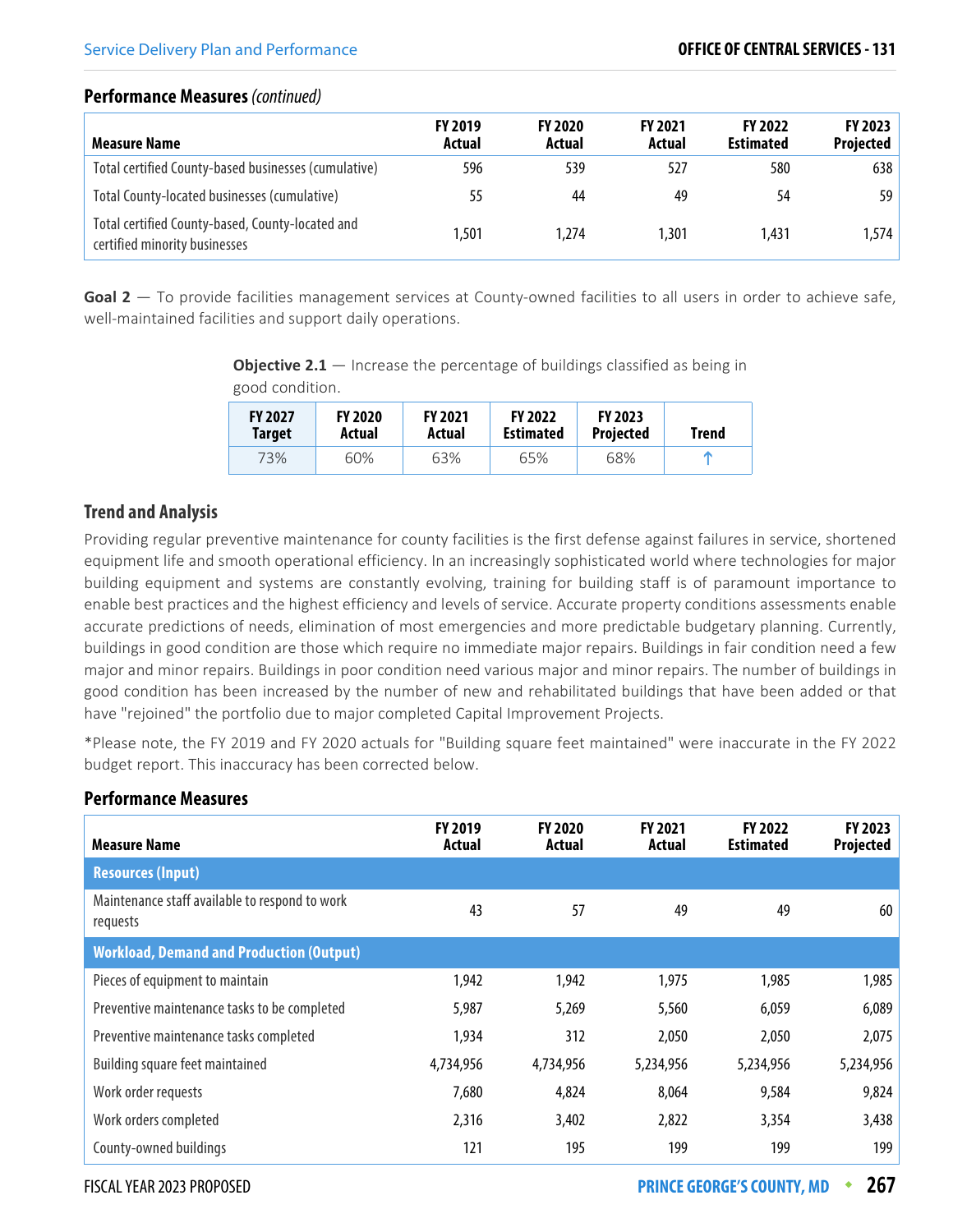| <b>Measure Name</b>                                                               | <b>FY 2019</b><br>Actual | <b>FY 2020</b><br>Actual | <b>FY 2021</b><br>Actual | <b>FY 2022</b><br><b>Estimated</b> | FY 2023<br><b>Projected</b> |
|-----------------------------------------------------------------------------------|--------------------------|--------------------------|--------------------------|------------------------------------|-----------------------------|
| Total certified County-based businesses (cumulative)                              | 596                      | 539                      | 527                      | 580                                | 638                         |
| Total County-located businesses (cumulative)                                      | 55                       | 44                       | 49                       | 54                                 | 59                          |
| Total certified County-based, County-located and<br>certified minority businesses | 1,501                    | 1,274                    | 1.301                    | 1,431                              | 1,574                       |

**Goal 2** — To provide facilities management services at County-owned facilities to all users in order to achieve safe, well-maintained facilities and support daily operations.

**Objective 2.1** – Increase the percentage of buildings classified as being in good condition.

| <b>FY 2027</b> | <b>FY 2020</b> | <b>FY 2021</b> | <b>FY 2022</b>   | <b>FY 2023</b>   | <b>Trend</b> |
|----------------|----------------|----------------|------------------|------------------|--------------|
| Target         | Actual         | Actual         | <b>Estimated</b> | <b>Projected</b> |              |
| 73%            | 60%            | 63%            | 65%              | 68%              |              |

#### **Trend and Analysis**

Providing regular preventive maintenance for county facilities is the first defense against failures in service, shortened equipment life and smooth operational efficiency. In an increasingly sophisticated world where technologies for major building equipment and systems are constantly evolving, training for building staff is of paramount importance to enable best practices and the highest efficiency and levels of service. Accurate property conditions assessments enable accurate predictions of needs, elimination of most emergencies and more predictable budgetary planning. Currently, buildings in good condition are those which require no immediate major repairs. Buildings in fair condition need a few major and minor repairs. Buildings in poor condition need various major and minor repairs. The number of buildings in good condition has been increased by the number of new and rehabilitated buildings that have been added or that have "rejoined" the portfolio due to major completed Capital Improvement Projects.

\*Please note, the FY 2019 and FY 2020 actuals for "Building square feet maintained" were inaccurate in the FY 2022 budget report. This inaccuracy has been corrected below.

| <b>Measure Name</b>                                        | <b>FY 2019</b><br>Actual | <b>FY 2020</b><br>Actual | <b>FY 2021</b><br>Actual | FY 2022<br><b>Estimated</b> | FY 2023<br>Projected |
|------------------------------------------------------------|--------------------------|--------------------------|--------------------------|-----------------------------|----------------------|
| <b>Resources (Input)</b>                                   |                          |                          |                          |                             |                      |
| Maintenance staff available to respond to work<br>requests | 43                       | 57                       | 49                       | 49                          | 60                   |
| <b>Workload, Demand and Production (Output)</b>            |                          |                          |                          |                             |                      |
| Pieces of equipment to maintain                            | 1,942                    | 1,942                    | 1,975                    | 1,985                       | 1,985                |
| Preventive maintenance tasks to be completed               | 5,987                    | 5,269                    | 5,560                    | 6,059                       | 6,089                |
| Preventive maintenance tasks completed                     | 1,934                    | 312                      | 2,050                    | 2,050                       | 2,075                |
| Building square feet maintained                            | 4,734,956                | 4,734,956                | 5,234,956                | 5,234,956                   | 5,234,956            |
| Work order requests                                        | 7,680                    | 4,824                    | 8,064                    | 9,584                       | 9,824                |
| Work orders completed                                      | 2,316                    | 3,402                    | 2,822                    | 3,354                       | 3,438                |
| County-owned buildings                                     | 121                      | 195                      | 199                      | 199                         | 199                  |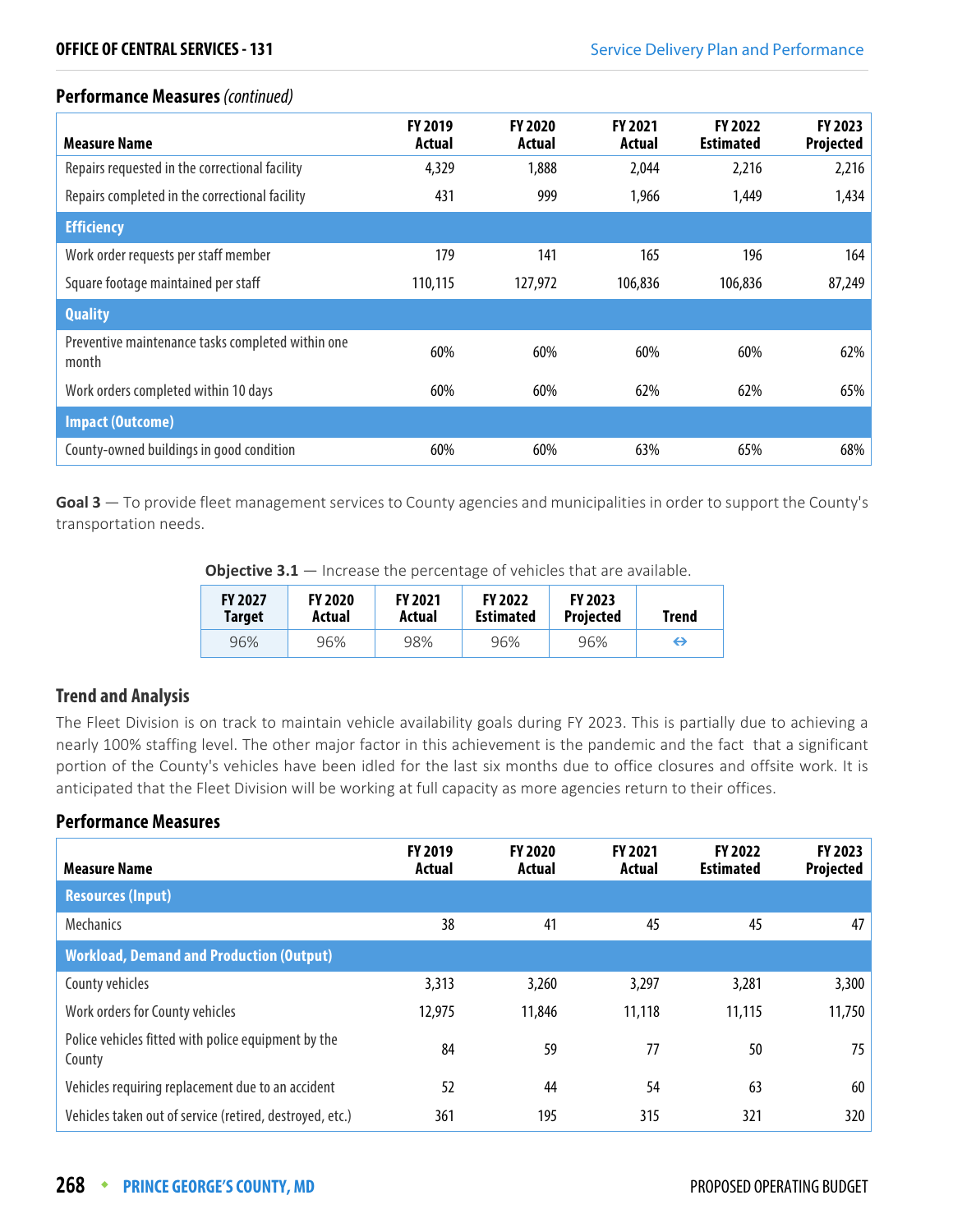| <b>Measure Name</b>                                        | <b>FY 2019</b><br>Actual | <b>FY 2020</b><br>Actual | FY 2021<br>Actual | FY 2022<br><b>Estimated</b> | <b>FY 2023</b><br>Projected |
|------------------------------------------------------------|--------------------------|--------------------------|-------------------|-----------------------------|-----------------------------|
| Repairs requested in the correctional facility             | 4,329                    | 1,888                    | 2,044             | 2,216                       | 2,216                       |
| Repairs completed in the correctional facility             | 431                      | 999                      | 1,966             | 1,449                       | 1,434                       |
| <b>Efficiency</b>                                          |                          |                          |                   |                             |                             |
| Work order requests per staff member                       | 179                      | 141                      | 165               | 196                         | 164                         |
| Square footage maintained per staff                        | 110,115                  | 127,972                  | 106,836           | 106,836                     | 87,249                      |
| <b>Quality</b>                                             |                          |                          |                   |                             |                             |
| Preventive maintenance tasks completed within one<br>month | 60%                      | 60%                      | 60%               | 60%                         | 62%                         |
| Work orders completed within 10 days                       | 60%                      | 60%                      | 62%               | 62%                         | 65%                         |
| <b>Impact (Outcome)</b>                                    |                          |                          |                   |                             |                             |
| County-owned buildings in good condition                   | 60%                      | 60%                      | 63%               | 65%                         | 68%                         |

**Goal 3** — To provide fleet management services to County agencies and municipalities in order to support the County's transportation needs.

**Objective 3.1** – Increase the percentage of vehicles that are available.

| <b>FY 2027</b> | <b>FY 2020</b> | <b>FY 2021</b> | <b>FY 2022</b>   | <b>FY 2023</b>   | Trend |
|----------------|----------------|----------------|------------------|------------------|-------|
| Target         | Actual         | Actual         | <b>Estimated</b> | <b>Projected</b> |       |
| 96%            | 96%            | 98%            | 96%              | 96%              | ⇔     |

#### **Trend and Analysis**

The Fleet Division is on track to maintain vehicle availability goals during FY 2023. This is partially due to achieving a nearly 100% staffing level. The other major factor in this achievement is the pandemic and the fact that a significant portion of the County's vehicles have been idled for the last six months due to office closures and offsite work. It is anticipated that the Fleet Division will be working at full capacity as more agencies return to their offices.

| <b>Measure Name</b>                                           | <b>FY 2019</b><br>Actual | <b>FY 2020</b><br>Actual | <b>FY 2021</b><br>Actual | <b>FY 2022</b><br><b>Estimated</b> | FY 2023<br>Projected |
|---------------------------------------------------------------|--------------------------|--------------------------|--------------------------|------------------------------------|----------------------|
| <b>Resources (Input)</b>                                      |                          |                          |                          |                                    |                      |
| <b>Mechanics</b>                                              | 38                       | 41                       | 45                       | 45                                 | 47                   |
| <b>Workload, Demand and Production (Output)</b>               |                          |                          |                          |                                    |                      |
| County vehicles                                               | 3,313                    | 3,260                    | 3,297                    | 3,281                              | 3,300                |
| Work orders for County vehicles                               | 12,975                   | 11,846                   | 11,118                   | 11,115                             | 11,750               |
| Police vehicles fitted with police equipment by the<br>County | 84                       | 59                       | 77                       | 50                                 | 75                   |
| Vehicles requiring replacement due to an accident             | 52                       | 44                       | 54                       | 63                                 | 60                   |
| Vehicles taken out of service (retired, destroyed, etc.)      | 361                      | 195                      | 315                      | 321                                | 320                  |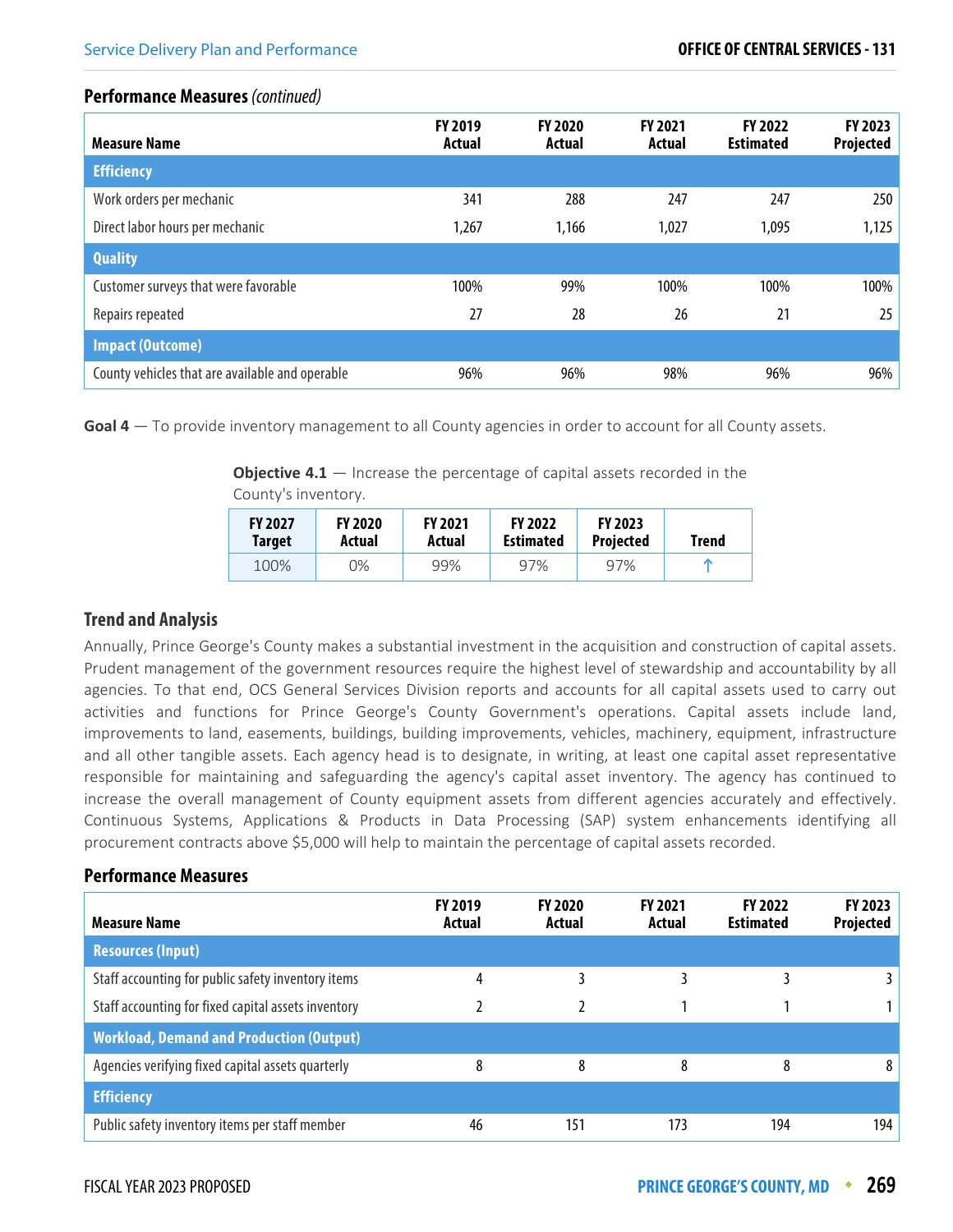| <b>Measure Name</b>                             | <b>FY 2019</b><br>Actual | <b>FY 2020</b><br>Actual | <b>FY 2021</b><br>Actual | <b>FY 2022</b><br><b>Estimated</b> | FY 2023<br><b>Projected</b> |
|-------------------------------------------------|--------------------------|--------------------------|--------------------------|------------------------------------|-----------------------------|
| <b>Efficiency</b>                               |                          |                          |                          |                                    |                             |
| Work orders per mechanic                        | 341                      | 288                      | 247                      | 247                                | 250                         |
| Direct labor hours per mechanic                 | 1,267                    | 1,166                    | 1,027                    | 1,095                              | 1,125                       |
| <b>Quality</b>                                  |                          |                          |                          |                                    |                             |
| Customer surveys that were favorable            | 100%                     | 99%                      | 100%                     | 100%                               | 100%                        |
| Repairs repeated                                | 27                       | 28                       | 26                       | 21                                 | 25                          |
| <b>Impact (Outcome)</b>                         |                          |                          |                          |                                    |                             |
| County vehicles that are available and operable | 96%                      | 96%                      | 98%                      | 96%                                | 96%                         |

**Goal 4** — To provide inventory management to all County agencies in order to account for all County assets.

**Objective 4.1** – Increase the percentage of capital assets recorded in the County's inventory.

| <b>FY 2027</b> | <b>FY 2020</b> | <b>FY 2021</b> | <b>FY 2022</b>   | <b>FY 2023</b>   | <b>Trend</b> |
|----------------|----------------|----------------|------------------|------------------|--------------|
| <b>Target</b>  | Actual         | Actual         | <b>Estimated</b> | <b>Projected</b> |              |
| 100%           | 0%             | 99%            | 97%              | 97%              | m            |

#### **Trend and Analysis**

Annually, Prince George's County makes a substantial investment in the acquisition and construction of capital assets. Prudent management of the government resources require the highest level of stewardship and accountability by all agencies. To that end, OCS General Services Division reports and accounts for all capital assets used to carry out activities and functions for Prince George's County Government's operations. Capital assets include land, improvements to land, easements, buildings, building improvements, vehicles, machinery, equipment, infrastructure and all other tangible assets. Each agency head is to designate, in writing, at least one capital asset representative responsible for maintaining and safeguarding the agency's capital asset inventory. The agency has continued to increase the overall management of County equipment assets from different agencies accurately and effectively. Continuous Systems, Applications & Products in Data Processing (SAP) system enhancements identifying all procurement contracts above \$5,000 will help to maintain the percentage of capital assets recorded.

| <b>Measure Name</b>                                 | <b>FY 2019</b><br>Actual | <b>FY 2020</b><br>Actual | <b>FY 2021</b><br>Actual | <b>FY 2022</b><br><b>Estimated</b> | FY 2023<br>Projected |
|-----------------------------------------------------|--------------------------|--------------------------|--------------------------|------------------------------------|----------------------|
| <b>Resources (Input)</b>                            |                          |                          |                          |                                    |                      |
| Staff accounting for public safety inventory items  | 4                        |                          |                          |                                    |                      |
| Staff accounting for fixed capital assets inventory |                          |                          |                          |                                    |                      |
| <b>Workload, Demand and Production (Output)</b>     |                          |                          |                          |                                    |                      |
| Agencies verifying fixed capital assets quarterly   | 8                        | 8                        | 8                        | 8                                  | 8                    |
| <b>Efficiency</b>                                   |                          |                          |                          |                                    |                      |
| Public safety inventory items per staff member      | 46                       | 151                      | 173                      | 194                                | 194                  |